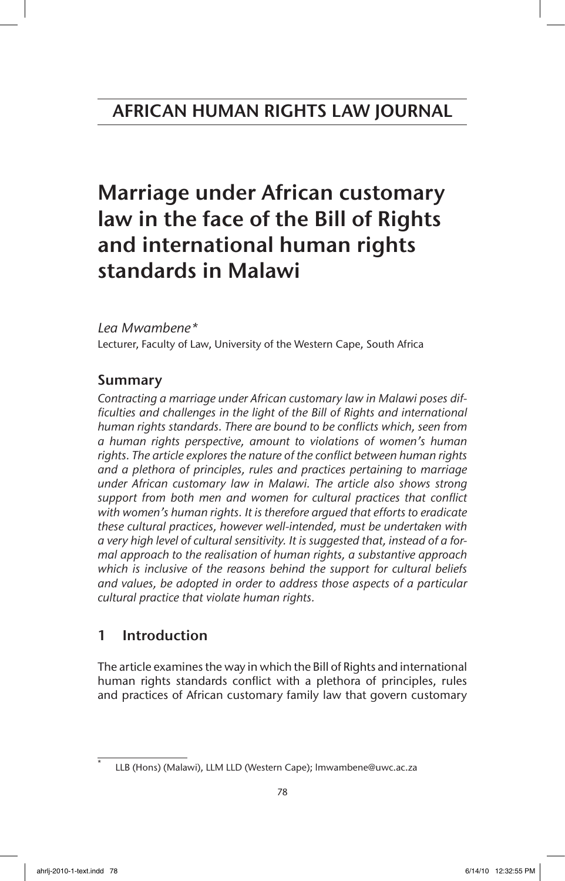# Marriage under African customary law in the face of the Bill of Rights and international human rights standards in Malawi

# *Lea Mwambene\**

Lecturer, Faculty of Law, University of the Western Cape, South Africa

# Summary

*Contracting a marriage under African customary law in Malawi poses dif*ficulties and challenges in the light of the Bill of Rights and international *human rights standards. There are bound to be conflicts which, seen from a human rights perspective, amount to violations of women's human rights. The article explores the nature of the conflict between human rights and a plethora of principles, rules and practices pertaining to marriage under African customary law in Malawi. The article also shows strong support from both men and women for cultural practices that conflict with women's human rights. It is therefore argued that efforts to eradicate these cultural practices, however well-intended, must be undertaken with a very high level of cultural sensitivity. It is suggested that, instead of a formal approach to the realisation of human rights, a substantive approach which is inclusive of the reasons behind the support for cultural beliefs and values, be adopted in order to address those aspects of a particular cultural practice that violate human rights.*

# 1 Introduction

The article examines the way in which the Bill of Rights and international human rights standards conflict with a plethora of principles, rules and practices of African customary family law that govern customary

LLB (Hons) (Malawi), LLM LLD (Western Cape); lmwambene@uwc.ac.za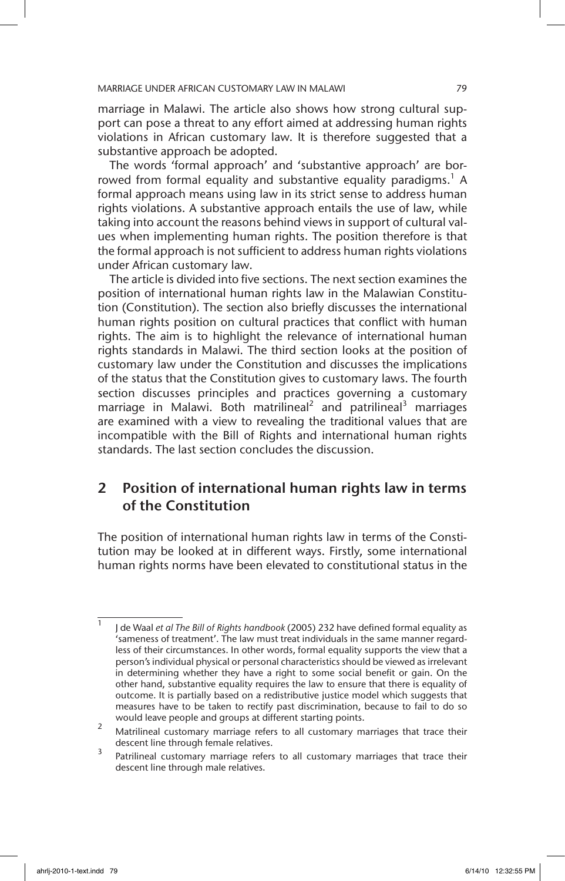marriage in Malawi. The article also shows how strong cultural support can pose a threat to any effort aimed at addressing human rights violations in African customary law. It is therefore suggested that a substantive approach be adopted.

The words 'formal approach' and 'substantive approach' are borrowed from formal equality and substantive equality paradigms.<sup>1</sup> A formal approach means using law in its strict sense to address human rights violations. A substantive approach entails the use of law, while taking into account the reasons behind views in support of cultural values when implementing human rights. The position therefore is that the formal approach is not sufficient to address human rights violations under African customary law.

The article is divided into five sections. The next section examines the position of international human rights law in the Malawian Constitution (Constitution). The section also briefly discusses the international human rights position on cultural practices that conflict with human rights. The aim is to highlight the relevance of international human rights standards in Malawi. The third section looks at the position of customary law under the Constitution and discusses the implications of the status that the Constitution gives to customary laws. The fourth section discusses principles and practices governing a customary marriage in Malawi. Both matrilineal<sup>2</sup> and patrilineal<sup>3</sup> marriages are examined with a view to revealing the traditional values that are incompatible with the Bill of Rights and international human rights standards. The last section concludes the discussion.

# 2 Position of international human rights law in terms of the Constitution

The position of international human rights law in terms of the Constitution may be looked at in different ways. Firstly, some international human rights norms have been elevated to constitutional status in the

<sup>1</sup> J de Waal *et al The Bill of Rights handbook* (2005) 232 have defined formal equality as 'sameness of treatment'. The law must treat individuals in the same manner regardless of their circumstances. In other words, formal equality supports the view that a person's individual physical or personal characteristics should be viewed as irrelevant in determining whether they have a right to some social benefit or gain. On the other hand, substantive equality requires the law to ensure that there is equality of outcome. It is partially based on a redistributive justice model which suggests that measures have to be taken to rectify past discrimination, because to fail to do so would leave people and groups at different starting points.

<sup>&</sup>lt;sup>2</sup> Matrilineal customary marriage refers to all customary marriages that trace their descent line through female relatives.

<sup>&</sup>lt;sup>3</sup> Patrilineal customary marriage refers to all customary marriages that trace their descent line through male relatives.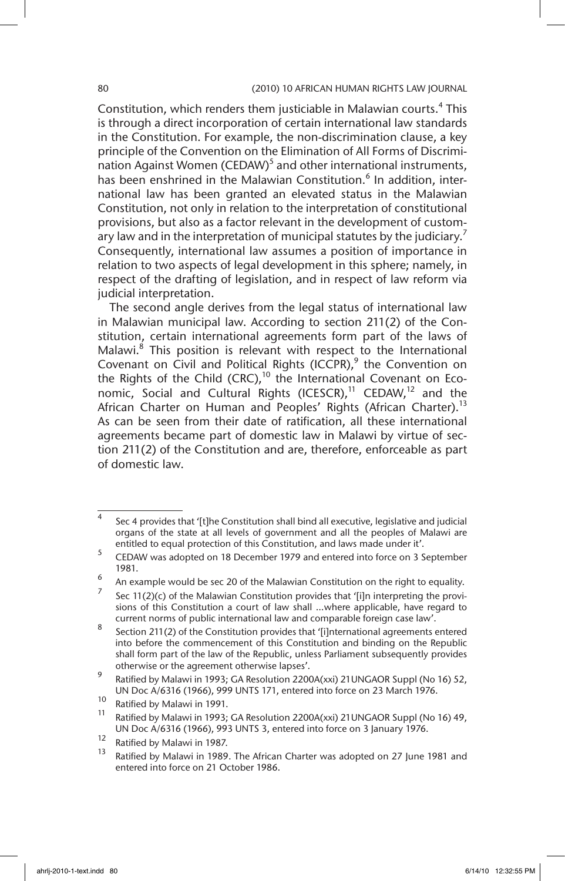Constitution, which renders them justiciable in Malawian courts.<sup>4</sup> This is through a direct incorporation of certain international law standards in the Constitution. For example, the non-discrimination clause, a key principle of the Convention on the Elimination of All Forms of Discrimination Against Women (CEDAW)<sup>5</sup> and other international instruments, has been enshrined in the Malawian Constitution.<sup>6</sup> In addition, international law has been granted an elevated status in the Malawian Constitution, not only in relation to the interpretation of constitutional provisions, but also as a factor relevant in the development of customary law and in the interpretation of municipal statutes by the judiciary.<sup>7</sup> Consequently, international law assumes a position of importance in relation to two aspects of legal development in this sphere; namely, in respect of the drafting of legislation, and in respect of law reform via judicial interpretation.

The second angle derives from the legal status of international law in Malawian municipal law. According to section 211(2) of the Constitution, certain international agreements form part of the laws of Malawi.<sup>8</sup> This position is relevant with respect to the International Covenant on Civil and Political Rights (ICCPR), $9$  the Convention on the Rights of the Child (CRC),<sup>10</sup> the International Covenant on Economic, Social and Cultural Rights (ICESCR),<sup>11</sup> CEDAW,<sup>12</sup> and the African Charter on Human and Peoples' Rights (African Charter).<sup>13</sup> As can be seen from their date of ratification, all these international agreements became part of domestic law in Malawi by virtue of section 211(2) of the Constitution and are, therefore, enforceable as part of domestic law.

 $4$  Sec 4 provides that '[t]he Constitution shall bind all executive, legislative and judicial organs of the state at all levels of government and all the peoples of Malawi are entitled to equal protection of this Constitution, and laws made under it'.

<sup>5</sup> CEDAW was adopted on 18 December 1979 and entered into force on 3 September 1981.

 $\frac{6}{7}$  An example would be sec 20 of the Malawian Constitution on the right to equality.

Sec  $11(2)(c)$  of the Malawian Constitution provides that '[i]n interpreting the provisions of this Constitution a court of law shall …where applicable, have regard to current norms of public international law and comparable foreign case law'.

<sup>8</sup> Section 211(2) of the Constitution provides that '[i]nternational agreements entered into before the commencement of this Constitution and binding on the Republic shall form part of the law of the Republic, unless Parliament subsequently provides otherwise or the agreement otherwise lapses'.

<sup>9</sup> Ratified by Malawi in 1993; GA Resolution 2200A(xxi) 21UNGAOR Suppl (No 16) 52, UN Doc A/6316 (1966), 999 UNTS 171, entered into force on 23 March 1976.

<sup>&</sup>lt;sup>10</sup> Ratified by Malawi in 1991.

Ratified by Malawi in 1993; GA Resolution 2200A(xxi) 21UNGAOR Suppl (No 16) 49, UN Doc A/6316 (1966), 993 UNTS 3, entered into force on 3 January 1976.

<sup>&</sup>lt;sup>12</sup> Ratified by Malawi in 1987.

Ratified by Malawi in 1989. The African Charter was adopted on 27 June 1981 and entered into force on 21 October 1986.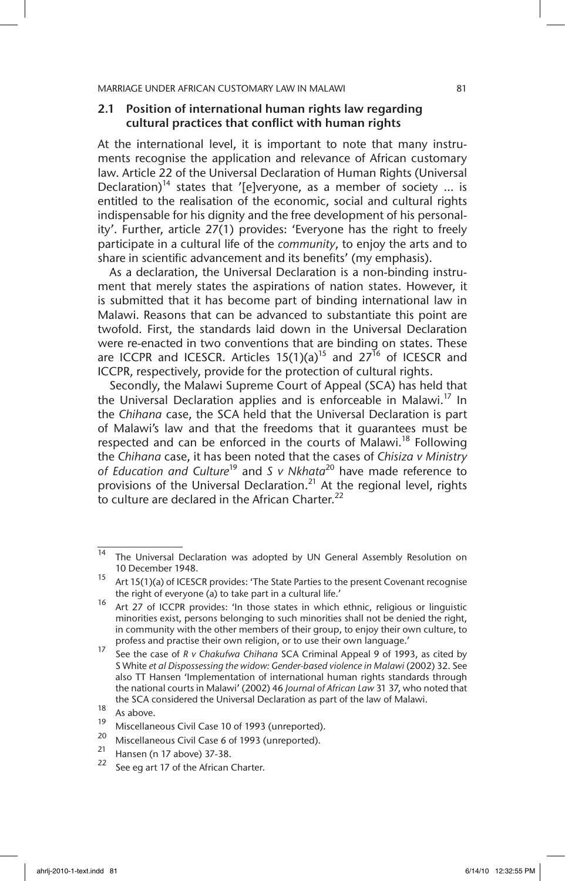### 2.1 Position of international human rights law regarding cultural practices that conflict with human rights

At the international level, it is important to note that many instruments recognise the application and relevance of African customary law. Article 22 of the Universal Declaration of Human Rights (Universal Declaration)<sup>14</sup> states that '[e]veryone, as a member of society ... is entitled to the realisation of the economic, social and cultural rights indispensable for his dignity and the free development of his personality'. Further, article 27(1) provides: 'Everyone has the right to freely participate in a cultural life of the *community*, to enjoy the arts and to share in scientific advancement and its benefits' (my emphasis).

As a declaration, the Universal Declaration is a non-binding instrument that merely states the aspirations of nation states. However, it is submitted that it has become part of binding international law in Malawi. Reasons that can be advanced to substantiate this point are twofold. First, the standards laid down in the Universal Declaration were re-enacted in two conventions that are binding on states. These are ICCPR and ICESCR. Articles  $15(1)(a)^{15}$  and  $27^{16}$  of ICESCR and ICCPR, respectively, provide for the protection of cultural rights.

Secondly, the Malawi Supreme Court of Appeal (SCA) has held that the Universal Declaration applies and is enforceable in Malawi.<sup>17</sup> In the *Chihana* case, the SCA held that the Universal Declaration is part of Malawi's law and that the freedoms that it guarantees must be respected and can be enforced in the courts of Malawi.<sup>18</sup> Following the *Chihana* case, it has been noted that the cases of *Chisiza v Ministry of Education and Culture*19 and *S v Nkhata*20 have made reference to provisions of the Universal Declaration.<sup>21</sup> At the regional level, rights to culture are declared in the African Charter.<sup>22</sup>

<sup>&</sup>lt;sup>14</sup> The Universal Declaration was adopted by UN General Assembly Resolution on 10 December 1948.

<sup>&</sup>lt;sup>15</sup> Art 15(1)(a) of ICESCR provides: 'The State Parties to the present Covenant recognise the right of everyone (a) to take part in a cultural life.'

<sup>16</sup> Art 27 of ICCPR provides: 'In those states in which ethnic, religious or linguistic minorities exist, persons belonging to such minorities shall not be denied the right, in community with the other members of their group, to enjoy their own culture, to profess and practise their own religion, or to use their own language.'

<sup>17</sup> See the case of *R v Chakufwa Chihana* SCA Criminal Appeal 9 of 1993, as cited by S White *et al Dispossessing the widow: Gender-based violence in Malawi* (2002) 32. See also TT Hansen 'Implementation of international human rights standards through the national courts in Malawi' (2002) 46 *Journal of African Law* 31 37, who noted that the SCA considered the Universal Declaration as part of the law of Malawi.

 $18$  As above.

<sup>&</sup>lt;sup>19</sup> Miscellaneous Civil Case 10 of 1993 (unreported).

<sup>&</sup>lt;sup>20</sup> Miscellaneous Civil Case 6 of 1993 (unreported).

<sup>&</sup>lt;sup>21</sup> Hansen (n 17 above) 37-38.

See eg art 17 of the African Charter.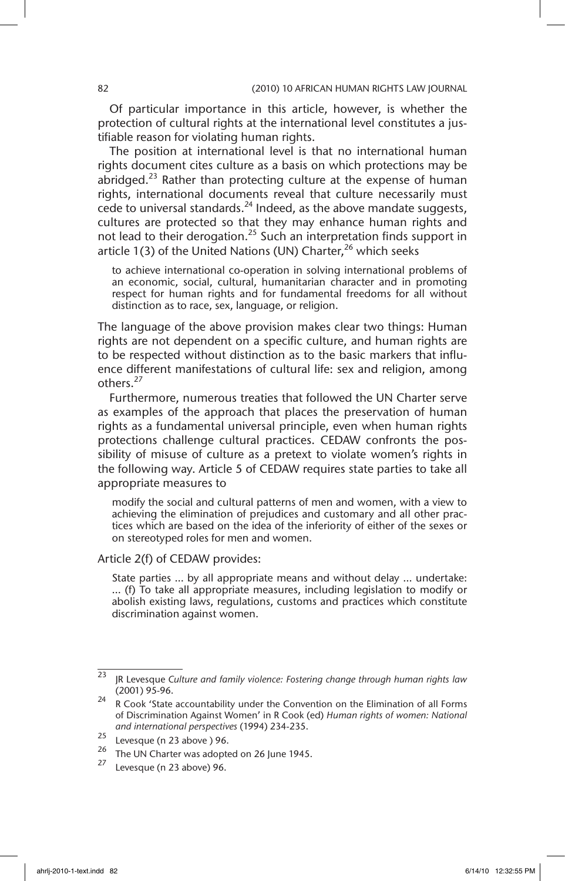Of particular importance in this article, however, is whether the protection of cultural rights at the international level constitutes a justifiable reason for violating human rights.

The position at international level is that no international human rights document cites culture as a basis on which protections may be abridged.<sup>23</sup> Rather than protecting culture at the expense of human rights, international documents reveal that culture necessarily must cede to universal standards. $^{24}$  Indeed, as the above mandate suggests, cultures are protected so that they may enhance human rights and not lead to their derogation.<sup>25</sup> Such an interpretation finds support in article 1(3) of the United Nations (UN) Charter,  $26$  which seeks

to achieve international co-operation in solving international problems of an economic, social, cultural, humanitarian character and in promoting respect for human rights and for fundamental freedoms for all without distinction as to race, sex, language, or religion.

The language of the above provision makes clear two things: Human rights are not dependent on a specific culture, and human rights are to be respected without distinction as to the basic markers that influence different manifestations of cultural life: sex and religion, among others<sup>27</sup>

Furthermore, numerous treaties that followed the UN Charter serve as examples of the approach that places the preservation of human rights as a fundamental universal principle, even when human rights protections challenge cultural practices. CEDAW confronts the possibility of misuse of culture as a pretext to violate women's rights in the following way. Article 5 of CEDAW requires state parties to take all appropriate measures to

modify the social and cultural patterns of men and women, with a view to achieving the elimination of prejudices and customary and all other practices which are based on the idea of the inferiority of either of the sexes or on stereotyped roles for men and women.

#### Article 2(f) of CEDAW provides:

State parties … by all appropriate means and without delay … undertake: … (f) To take all appropriate measures, including legislation to modify or abolish existing laws, regulations, customs and practices which constitute discrimination against women.

<sup>23</sup> JR Levesque *Culture and family violence: Fostering change through human rights law* (2001) 95-96.

 $24$  R Cook 'State accountability under the Convention on the Elimination of all Forms of Discrimination Against Women' in R Cook (ed) *Human rights of women: National and international perspectives* (1994) 234-235.

 $\frac{25}{26}$  Levesque (n 23 above) 96.

<sup>26</sup> The UN Charter was adopted on 26 June 1945.

Levesque (n 23 above) 96.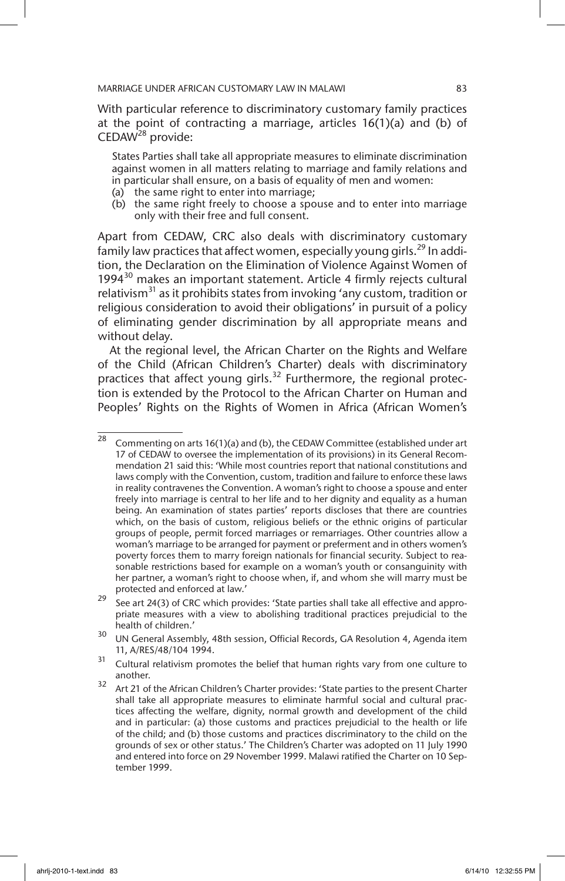With particular reference to discriminatory customary family practices at the point of contracting a marriage, articles 16(1)(a) and (b) of CEDAW<sup>28</sup> provide:

States Parties shall take all appropriate measures to eliminate discrimination against women in all matters relating to marriage and family relations and in particular shall ensure, on a basis of equality of men and women:

- (a) the same right to enter into marriage;
- (b) the same right freely to choose a spouse and to enter into marriage only with their free and full consent.

Apart from CEDAW, CRC also deals with discriminatory customary family law practices that affect women, especially young girls.<sup>29</sup> In addition, the Declaration on the Elimination of Violence Against Women of 1994 $30$  makes an important statement. Article 4 firmly rejects cultural relativism<sup>31</sup> as it prohibits states from invoking 'any custom, tradition or religious consideration to avoid their obligations' in pursuit of a policy of eliminating gender discrimination by all appropriate means and without delay.

At the regional level, the African Charter on the Rights and Welfare of the Child (African Children's Charter) deals with discriminatory practices that affect young girls.<sup>32</sup> Furthermore, the regional protection is extended by the Protocol to the African Charter on Human and Peoples' Rights on the Rights of Women in Africa (African Women's

 $\frac{1}{28}$  Commenting on arts 16(1)(a) and (b), the CEDAW Committee (established under art 17 of CEDAW to oversee the implementation of its provisions) in its General Recommendation 21 said this: 'While most countries report that national constitutions and laws comply with the Convention, custom, tradition and failure to enforce these laws in reality contravenes the Convention. A woman's right to choose a spouse and enter freely into marriage is central to her life and to her dignity and equality as a human being. An examination of states parties' reports discloses that there are countries which, on the basis of custom, religious beliefs or the ethnic origins of particular groups of people, permit forced marriages or remarriages. Other countries allow a woman's marriage to be arranged for payment or preferment and in others women's poverty forces them to marry foreign nationals for financial security. Subject to reasonable restrictions based for example on a woman's youth or consanguinity with her partner, a woman's right to choose when, if, and whom she will marry must be protected and enforced at law.'

 $29$  See art 24(3) of CRC which provides: 'State parties shall take all effective and appropriate measures with a view to abolishing traditional practices prejudicial to the health of children.'

<sup>&</sup>lt;sup>30</sup> UN General Assembly, 48th session, Official Records, GA Resolution 4, Agenda item 11, A/RES/48/104 1994.

 $31$  Cultural relativism promotes the belief that human rights vary from one culture to another.

<sup>&</sup>lt;sup>32</sup> Art 21 of the African Children's Charter provides: 'State parties to the present Charter shall take all appropriate measures to eliminate harmful social and cultural practices affecting the welfare, dignity, normal growth and development of the child and in particular: (a) those customs and practices prejudicial to the health or life of the child; and (b) those customs and practices discriminatory to the child on the grounds of sex or other status.' The Children's Charter was adopted on 11 July 1990 and entered into force on 29 November 1999. Malawi ratified the Charter on 10 September 1999.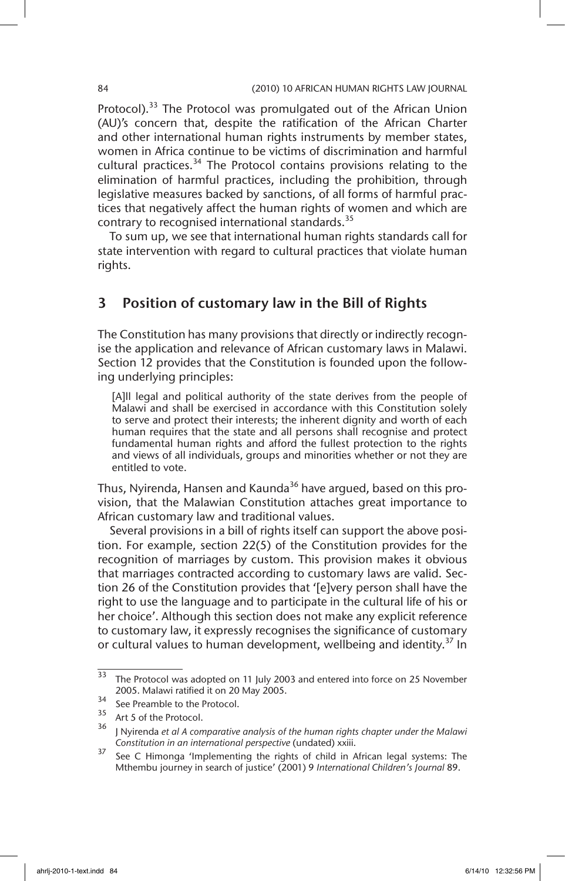Protocol).<sup>33</sup> The Protocol was promulgated out of the African Union (AU)'s concern that, despite the ratification of the African Charter and other international human rights instruments by member states, women in Africa continue to be victims of discrimination and harmful cultural practices.<sup>34</sup> The Protocol contains provisions relating to the elimination of harmful practices, including the prohibition, through legislative measures backed by sanctions, of all forms of harmful practices that negatively affect the human rights of women and which are contrary to recognised international standards.<sup>35</sup>

To sum up, we see that international human rights standards call for state intervention with regard to cultural practices that violate human rights.

# 3 Position of customary law in the Bill of Rights

The Constitution has many provisions that directly or indirectly recognise the application and relevance of African customary laws in Malawi. Section 12 provides that the Constitution is founded upon the following underlying principles:

[A]] legal and political authority of the state derives from the people of Malawi and shall be exercised in accordance with this Constitution solely to serve and protect their interests; the inherent dignity and worth of each human requires that the state and all persons shall recognise and protect fundamental human rights and afford the fullest protection to the rights and views of all individuals, groups and minorities whether or not they are entitled to vote.

Thus, Nyirenda, Hansen and Kaunda<sup>36</sup> have argued, based on this provision, that the Malawian Constitution attaches great importance to African customary law and traditional values.

Several provisions in a bill of rights itself can support the above position. For example, section 22(5) of the Constitution provides for the recognition of marriages by custom. This provision makes it obvious that marriages contracted according to customary laws are valid. Section 26 of the Constitution provides that '[e]very person shall have the right to use the language and to participate in the cultural life of his or her choice'. Although this section does not make any explicit reference to customary law, it expressly recognises the significance of customary or cultural values to human development, wellbeing and identity.<sup>37</sup> In

 $\frac{33}{33}$  The Protocol was adopted on 11 July 2003 and entered into force on 25 November 2005. Malawi ratified it on 20 May 2005.

 $3^3$  See Preamble to the Protocol.<br> $3^5$  Art 5 of the Protocol

Art 5 of the Protocol.

<sup>36</sup> J Nyirenda *et al A comparative analysis of the human rights chapter under the Malawi Constitution in an international perspective* (undated) xxiii.

<sup>&</sup>lt;sup>37</sup> See C Himonga 'Implementing the rights of child in African legal systems: The Mthembu journey in search of justice' (2001) 9 *International Children's Journal* 89.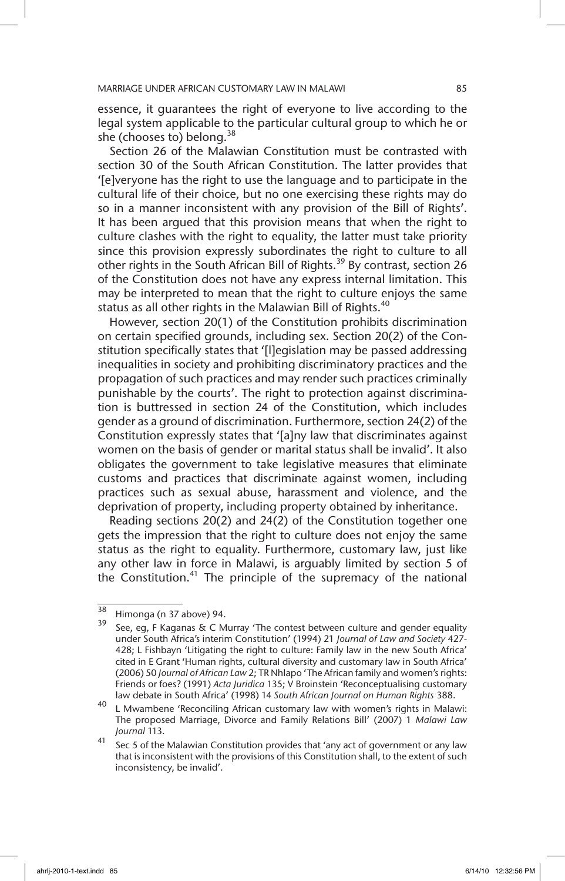essence, it guarantees the right of everyone to live according to the legal system applicable to the particular cultural group to which he or she (chooses to) belong.<sup>38</sup>

Section 26 of the Malawian Constitution must be contrasted with section 30 of the South African Constitution. The latter provides that '[e]veryone has the right to use the language and to participate in the cultural life of their choice, but no one exercising these rights may do so in a manner inconsistent with any provision of the Bill of Rights'. It has been argued that this provision means that when the right to culture clashes with the right to equality, the latter must take priority since this provision expressly subordinates the right to culture to all other rights in the South African Bill of Rights.<sup>39</sup> By contrast, section 26 of the Constitution does not have any express internal limitation. This may be interpreted to mean that the right to culture enjoys the same status as all other rights in the Malawian Bill of Rights.<sup>40</sup>

However, section 20(1) of the Constitution prohibits discrimination on certain specified grounds, including sex. Section 20(2) of the Constitution specifically states that '[l]egislation may be passed addressing inequalities in society and prohibiting discriminatory practices and the propagation of such practices and may render such practices criminally punishable by the courts'. The right to protection against discrimination is buttressed in section 24 of the Constitution, which includes gender as a ground of discrimination. Furthermore, section 24(2) of the Constitution expressly states that '[a]ny law that discriminates against women on the basis of gender or marital status shall be invalid'. It also obligates the government to take legislative measures that eliminate customs and practices that discriminate against women, including practices such as sexual abuse, harassment and violence, and the deprivation of property, including property obtained by inheritance.

Reading sections 20(2) and 24(2) of the Constitution together one gets the impression that the right to culture does not enjoy the same status as the right to equality. Furthermore, customary law, just like any other law in force in Malawi, is arguably limited by section 5 of the Constitution.<sup>41</sup> The principle of the supremacy of the national

 $\frac{38}{39}$  Himonga (n 37 above) 94.

See, eg, F Kaganas & C Murray 'The contest between culture and gender equality under South Africa's interim Constitution' (1994) 21 *Journal of Law and Society* 427- 428; L Fishbayn 'Litigating the right to culture: Family law in the new South Africa' cited in E Grant 'Human rights, cultural diversity and customary law in South Africa' (2006) 50 *Journal of African Law* 2; TR Nhlapo 'The African family and women's rights: Friends or foes? (1991) *Acta Juridica* 135; V Broinstein 'Reconceptualising customary law debate in South Africa' (1998) 14 *South African Journal on Human Rights* 388.

<sup>40</sup> L Mwambene 'Reconciling African customary law with women's rights in Malawi: The proposed Marriage, Divorce and Family Relations Bill' (2007) 1 *Malawi Law Journal* 113.

 $\frac{41}{10}$  Sec 5 of the Malawian Constitution provides that 'any act of government or any law that is inconsistent with the provisions of this Constitution shall, to the extent of such inconsistency, be invalid'.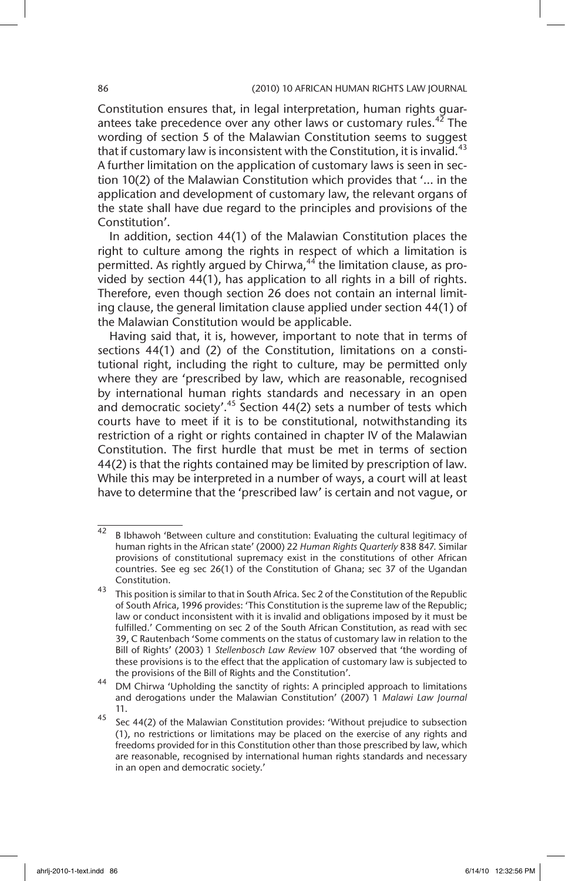Constitution ensures that, in legal interpretation, human rights guarantees take precedence over any other laws or customary rules.<sup>42</sup> The wording of section 5 of the Malawian Constitution seems to suggest that if customary law is inconsistent with the Constitution, it is invalid.<sup>43</sup> A further limitation on the application of customary laws is seen in section 10(2) of the Malawian Constitution which provides that '… in the application and development of customary law, the relevant organs of the state shall have due regard to the principles and provisions of the Constitution'.

In addition, section 44(1) of the Malawian Constitution places the right to culture among the rights in respect of which a limitation is permitted. As rightly argued by Chirwa, $44$  the limitation clause, as provided by section 44(1), has application to all rights in a bill of rights. Therefore, even though section 26 does not contain an internal limiting clause, the general limitation clause applied under section 44(1) of the Malawian Constitution would be applicable.

Having said that, it is, however, important to note that in terms of sections 44(1) and (2) of the Constitution, limitations on a constitutional right, including the right to culture, may be permitted only where they are 'prescribed by law, which are reasonable, recognised by international human rights standards and necessary in an open and democratic society'.<sup>45</sup> Section 44(2) sets a number of tests which courts have to meet if it is to be constitutional, notwithstanding its restriction of a right or rights contained in chapter IV of the Malawian Constitution. The first hurdle that must be met in terms of section 44(2) is that the rights contained may be limited by prescription of law. While this may be interpreted in a number of ways, a court will at least have to determine that the 'prescribed law' is certain and not vague, or

 $42$  B Ibhawoh 'Between culture and constitution: Evaluating the cultural legitimacy of human rights in the African state' (2000) 22 *Human Rights Quarterly* 838 847. Similar provisions of constitutional supremacy exist in the constitutions of other African countries. See eg sec 26(1) of the Constitution of Ghana; sec 37 of the Ugandan Constitution.

<sup>43</sup> This position is similar to that in South Africa. Sec 2 of the Constitution of the Republic of South Africa, 1996 provides: 'This Constitution is the supreme law of the Republic; law or conduct inconsistent with it is invalid and obligations imposed by it must be fulfilled.' Commenting on sec 2 of the South African Constitution, as read with sec 39, C Rautenbach 'Some comments on the status of customary law in relation to the Bill of Rights' (2003) 1 *Stellenbosch Law Review* 107 observed that 'the wording of these provisions is to the effect that the application of customary law is subjected to the provisions of the Bill of Rights and the Constitution'.

<sup>44</sup> DM Chirwa 'Upholding the sanctity of rights: A principled approach to limitations and derogations under the Malawian Constitution' (2007) 1 *Malawi Law Journal* 11.

 $\frac{45}{15}$  Sec 44(2) of the Malawian Constitution provides: 'Without prejudice to subsection (1), no restrictions or limitations may be placed on the exercise of any rights and freedoms provided for in this Constitution other than those prescribed by law, which are reasonable, recognised by international human rights standards and necessary in an open and democratic society.'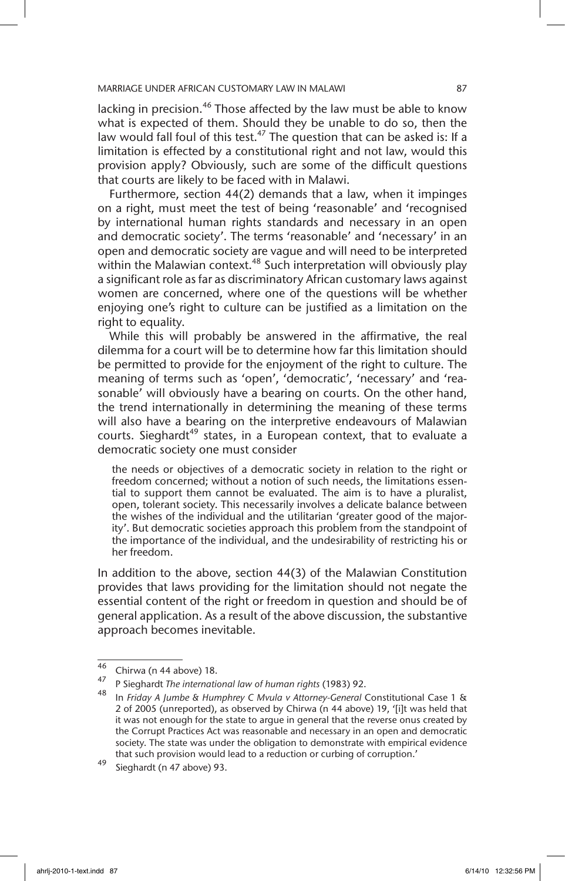lacking in precision.<sup>46</sup> Those affected by the law must be able to know what is expected of them. Should they be unable to do so, then the law would fall foul of this test.<sup>47</sup> The question that can be asked is: If a limitation is effected by a constitutional right and not law, would this provision apply? Obviously, such are some of the difficult questions that courts are likely to be faced with in Malawi.

Furthermore, section 44(2) demands that a law, when it impinges on a right, must meet the test of being 'reasonable' and 'recognised by international human rights standards and necessary in an open and democratic society'. The terms 'reasonable' and 'necessary' in an open and democratic society are vague and will need to be interpreted within the Malawian context.<sup>48</sup> Such interpretation will obviously play a significant role as far as discriminatory African customary laws against women are concerned, where one of the questions will be whether enjoying one's right to culture can be justified as a limitation on the right to equality.

While this will probably be answered in the affirmative, the real dilemma for a court will be to determine how far this limitation should be permitted to provide for the enjoyment of the right to culture. The meaning of terms such as 'open', 'democratic', 'necessary' and 'reasonable' will obviously have a bearing on courts. On the other hand, the trend internationally in determining the meaning of these terms will also have a bearing on the interpretive endeavours of Malawian courts. Sieghardt<sup>49</sup> states, in a European context, that to evaluate a democratic society one must consider

the needs or objectives of a democratic society in relation to the right or freedom concerned; without a notion of such needs, the limitations essential to support them cannot be evaluated. The aim is to have a pluralist, open, tolerant society. This necessarily involves a delicate balance between the wishes of the individual and the utilitarian 'greater good of the majority'. But democratic societies approach this problem from the standpoint of the importance of the individual, and the undesirability of restricting his or her freedom.

In addition to the above, section 44(3) of the Malawian Constitution provides that laws providing for the limitation should not negate the essential content of the right or freedom in question and should be of general application. As a result of the above discussion, the substantive approach becomes inevitable.

 $^{46}$  Chirwa (n 44 above) 18.

<sup>47</sup> P Sieghardt *The international law of human rights* (1983) 92.

<sup>48</sup> In *Friday A Jumbe & Humphrey C Mvula v Attorney-General* Constitutional Case 1 & 2 of 2005 (unreported), as observed by Chirwa (n 44 above) 19, '[i]t was held that it was not enough for the state to argue in general that the reverse onus created by the Corrupt Practices Act was reasonable and necessary in an open and democratic society. The state was under the obligation to demonstrate with empirical evidence that such provision would lead to a reduction or curbing of corruption.'

<sup>49</sup> Sieghardt (n 47 above) 93.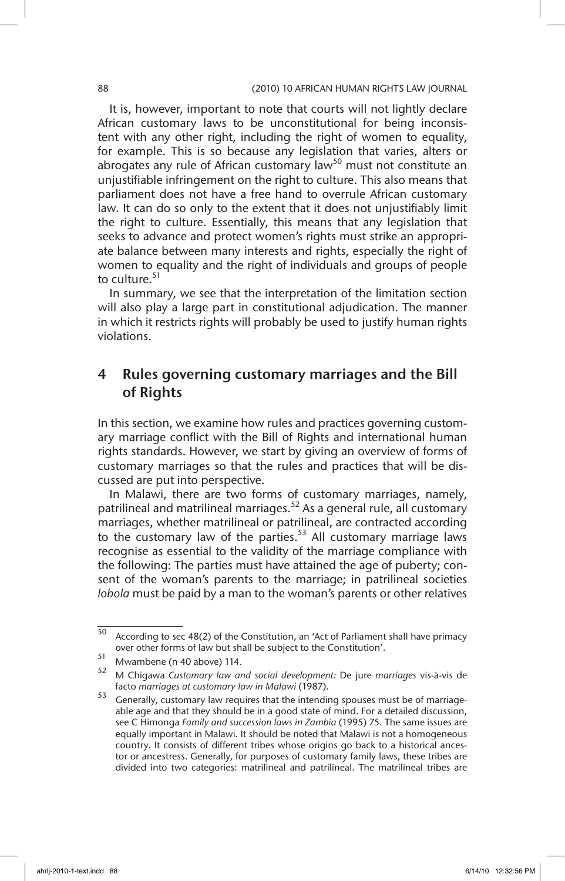It is, however, important to note that courts will not lightly declare African customary laws to be unconstitutional for being inconsistent with any other right, including the right of women to equality, for example. This is so because any legislation that varies, alters or abrogates any rule of African customary law<sup>50</sup> must not constitute an unjustifiable infringement on the right to culture. This also means that parliament does not have a free hand to overrule African customary law. It can do so only to the extent that it does not unjustifiably limit the right to culture. Essentially, this means that any legislation that seeks to advance and protect women's rights must strike an appropriate balance between many interests and rights, especially the right of women to equality and the right of individuals and groups of people to culture.<sup>51</sup>

In summary, we see that the interpretation of the limitation section will also play a large part in constitutional adjudication. The manner in which it restricts rights will probably be used to justify human rights violations.

# 4 Rules governing customary marriages and the Bill of Rights

In this section, we examine how rules and practices governing customary marriage conflict with the Bill of Rights and international human rights standards. However, we start by giving an overview of forms of customary marriages so that the rules and practices that will be discussed are put into perspective.

In Malawi, there are two forms of customary marriages, namely, patrilineal and matrilineal marriages.<sup>52</sup> As a general rule, all customary marriages, whether matrilineal or patrilineal, are contracted according to the customary law of the parties.<sup>53</sup> All customary marriage laws recognise as essential to the validity of the marriage compliance with the following: The parties must have attained the age of puberty; consent of the woman's parents to the marriage; in patrilineal societies *lobola* must be paid by a man to the woman's parents or other relatives

 $\frac{1}{50}$  According to sec 48(2) of the Constitution, an 'Act of Parliament shall have primacy over other forms of law but shall be subject to the Constitution'.

 $^{51}$  Mwambene (n 40 above) 114.

<sup>52</sup> M Chigawa *Customary law and social development:* De jure *marriages* vis-à-vis de facto *marriages at customary law in Malawi* (1987).

<sup>53</sup> Generally, customary law requires that the intending spouses must be of marriageable age and that they should be in a good state of mind. For a detailed discussion, see C Himonga *Family and succession laws in Zambia* (1995) 75. The same issues are equally important in Malawi. It should be noted that Malawi is not a homogeneous country. It consists of different tribes whose origins go back to a historical ancestor or ancestress. Generally, for purposes of customary family laws, these tribes are divided into two categories: matrilineal and patrilineal. The matrilineal tribes are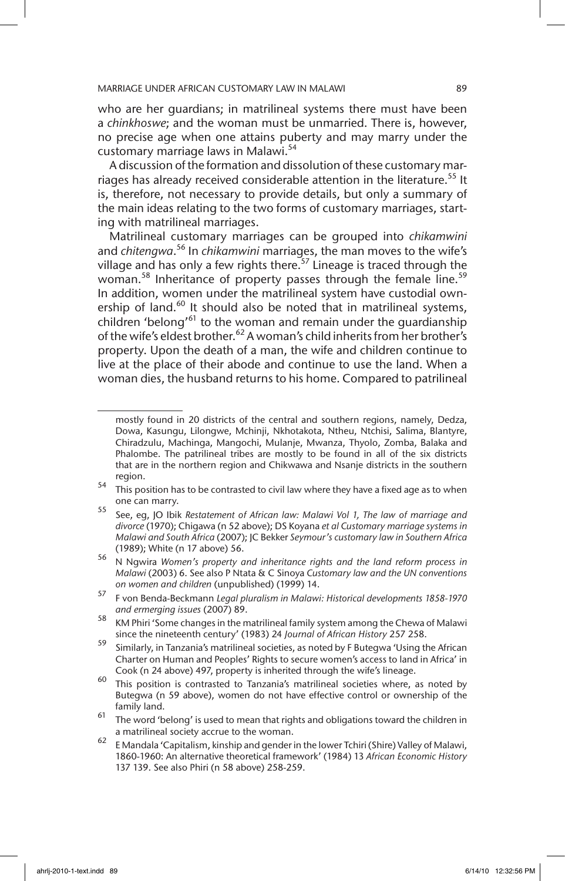who are her guardians; in matrilineal systems there must have been a *chinkhoswe*; and the woman must be unmarried. There is, however, no precise age when one attains puberty and may marry under the customary marriage laws in Malawi.<sup>54</sup>

A discussion of the formation and dissolution of these customary marriages has already received considerable attention in the literature.<sup>55</sup> It is, therefore, not necessary to provide details, but only a summary of the main ideas relating to the two forms of customary marriages, starting with matrilineal marriages.

Matrilineal customary marriages can be grouped into *chikamwini* and *chitengwa*. 56 In *chikamwini* marriages, the man moves to the wife's village and has only a few rights there.<sup>57</sup> Lineage is traced through the woman.<sup>58</sup> Inheritance of property passes through the female line.<sup>59</sup> In addition, women under the matrilineal system have custodial ownership of land.<sup>60</sup> It should also be noted that in matrilineal systems, children 'belong'<sup>61</sup> to the woman and remain under the quardianship of the wife's eldest brother.<sup>62</sup> A woman's child inherits from her brother's property. Upon the death of a man, the wife and children continue to live at the place of their abode and continue to use the land. When a woman dies, the husband returns to his home. Compared to patrilineal

mostly found in 20 districts of the central and southern regions, namely, Dedza, Dowa, Kasungu, Lilongwe, Mchinji, Nkhotakota, Ntheu, Ntchisi, Salima, Blantyre, Chiradzulu, Machinga, Mangochi, Mulanje, Mwanza, Thyolo, Zomba, Balaka and Phalombe. The patrilineal tribes are mostly to be found in all of the six districts that are in the northern region and Chikwawa and Nsanje districts in the southern region.

<sup>54</sup> This position has to be contrasted to civil law where they have a fixed age as to when one can marry.

<sup>55</sup> See, eg, JO Ibik *Restatement of African law: Malawi Vol 1, The law of marriage and divorce* (1970); Chigawa (n 52 above); DS Koyana *et al Customary marriage systems in Malawi and South Africa* (2007); JC Bekker *Seymour's customary law in Southern Africa* (1989); White (n 17 above) 56.

<sup>56</sup> N Ngwira *Women's property and inheritance rights and the land reform process in Malawi* (2003) 6. See also P Ntata & C Sinoya *Customary law and the UN conventions on women and children* (unpublished) (1999) 14.

<sup>57</sup> F von Benda-Beckmann *Legal pluralism in Malawi: Historical developments 1858-1970 and ermerging issues* (2007) 89.

<sup>58</sup> KM Phiri 'Some changes in the matrilineal family system among the Chewa of Malawi since the nineteenth century' (1983) 24 *Journal of African History* 257 258.

<sup>59</sup> Similarly, in Tanzania's matrilineal societies, as noted by F Butegwa 'Using the African Charter on Human and Peoples' Rights to secure women's access to land in Africa' in Cook (n 24 above) 497, property is inherited through the wife's lineage.

<sup>60</sup> This position is contrasted to Tanzania's matrilineal societies where, as noted by Butegwa (n 59 above), women do not have effective control or ownership of the family land.

 $61$  The word 'belong' is used to mean that rights and obligations toward the children in a matrilineal society accrue to the woman.

 $\frac{62}{10}$  E Mandala 'Capitalism, kinship and gender in the lower Tchiri (Shire) Valley of Malawi, 1860-1960: An alternative theoretical framework' (1984) 13 *African Economic History* 137 139. See also Phiri (n 58 above) 258-259.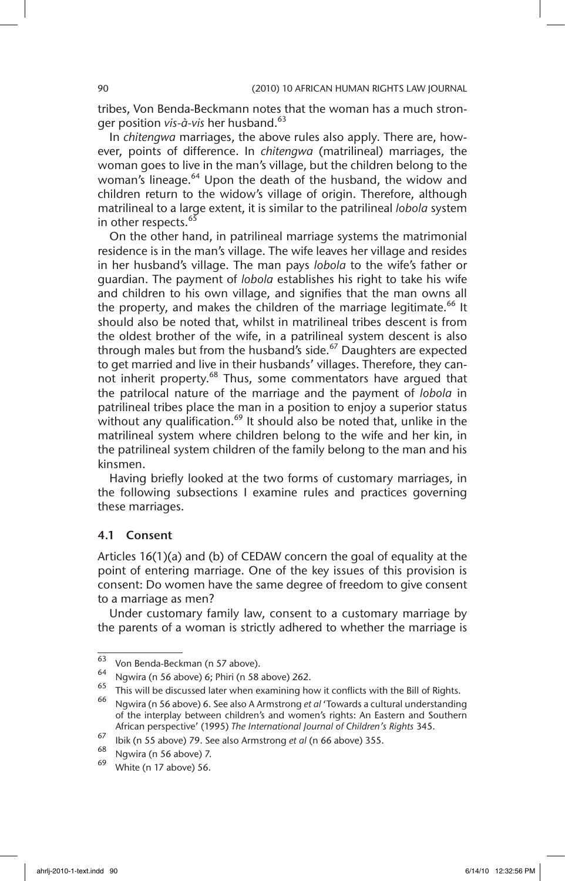tribes, Von Benda-Beckmann notes that the woman has a much stronger position *vis-à-vis* her husband.<sup>63</sup>

In *chitengwa* marriages, the above rules also apply. There are, however, points of difference. In *chitengwa* (matrilineal) marriages, the woman goes to live in the man's village, but the children belong to the woman's lineage.<sup>64</sup> Upon the death of the husband, the widow and children return to the widow's village of origin. Therefore, although matrilineal to a large extent, it is similar to the patrilineal *lobola* system in other respects.<sup>65</sup>

On the other hand, in patrilineal marriage systems the matrimonial residence is in the man's village. The wife leaves her village and resides in her husband's village. The man pays *lobola* to the wife's father or guardian. The payment of *lobola* establishes his right to take his wife and children to his own village, and signifies that the man owns all the property, and makes the children of the marriage legitimate.<sup>66</sup> It should also be noted that, whilst in matrilineal tribes descent is from the oldest brother of the wife, in a patrilineal system descent is also through males but from the husband's side. $67$  Daughters are expected to get married and live in their husbands' villages. Therefore, they cannot inherit property.<sup>68</sup> Thus, some commentators have argued that the patrilocal nature of the marriage and the payment of *lobola* in patrilineal tribes place the man in a position to enjoy a superior status without any qualification. $^{69}$  It should also be noted that, unlike in the matrilineal system where children belong to the wife and her kin, in the patrilineal system children of the family belong to the man and his kinsmen.

Having briefly looked at the two forms of customary marriages, in the following subsections I examine rules and practices governing these marriages.

### 4.1 Consent

Articles 16(1)(a) and (b) of CEDAW concern the goal of equality at the point of entering marriage. One of the key issues of this provision is consent: Do women have the same degree of freedom to give consent to a marriage as men?

Under customary family law, consent to a customary marriage by the parents of a woman is strictly adhered to whether the marriage is

 $\frac{63}{63}$  Von Benda-Beckman (n 57 above).

<sup>&</sup>lt;sup>64</sup> Ngwira (n 56 above) 6; Phiri (n 58 above) 262.

 $\frac{65}{66}$  This will be discussed later when examining how it conflicts with the Bill of Rights.

<sup>66</sup> Ngwira (n 56 above) 6. See also A Armstrong *et al* 'Towards a cultural understanding of the interplay between children's and women's rights: An Eastern and Southern African perspective' (1995) *The International Journal of Children's Rights* 345.

<sup>67</sup> Ibik (n 55 above) 79. See also Armstrong *et al* (n 66 above) 355.

Ngwira (n 56 above) 7.

White (n 17 above) 56.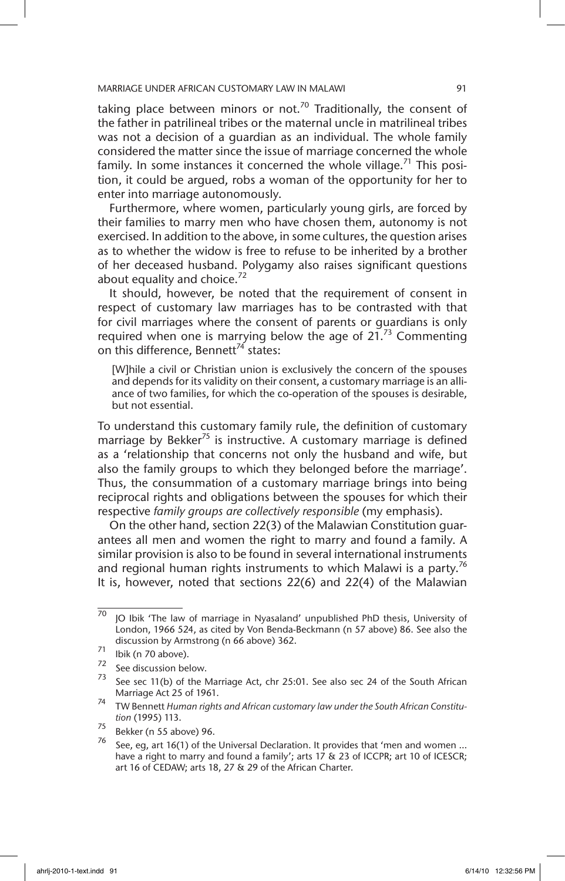taking place between minors or not.<sup>70</sup> Traditionally, the consent of the father in patrilineal tribes or the maternal uncle in matrilineal tribes was not a decision of a guardian as an individual. The whole family considered the matter since the issue of marriage concerned the whole family. In some instances it concerned the whole village.<sup>71</sup> This position, it could be argued, robs a woman of the opportunity for her to enter into marriage autonomously.

Furthermore, where women, particularly young girls, are forced by their families to marry men who have chosen them, autonomy is not exercised. In addition to the above, in some cultures, the question arises as to whether the widow is free to refuse to be inherited by a brother of her deceased husband. Polygamy also raises significant questions about equality and choice. $72$ 

It should, however, be noted that the requirement of consent in respect of customary law marriages has to be contrasted with that for civil marriages where the consent of parents or guardians is only required when one is marrying below the age of  $21<sup>73</sup>$  Commenting on this difference, Bennett<sup>74</sup> states:

[W]hile a civil or Christian union is exclusively the concern of the spouses and depends for its validity on their consent, a customary marriage is an alliance of two families, for which the co-operation of the spouses is desirable, but not essential.

To understand this customary family rule, the definition of customary marriage by Bekker<sup>75</sup> is instructive. A customary marriage is defined as a 'relationship that concerns not only the husband and wife, but also the family groups to which they belonged before the marriage'. Thus, the consummation of a customary marriage brings into being reciprocal rights and obligations between the spouses for which their respective *family groups are collectively responsible* (my emphasis).

On the other hand, section 22(3) of the Malawian Constitution guarantees all men and women the right to marry and found a family. A similar provision is also to be found in several international instruments and regional human rights instruments to which Malawi is a party.<sup>76</sup> It is, however, noted that sections 22(6) and 22(4) of the Malawian

 $70$  JO Ibik 'The law of marriage in Nyasaland' unpublished PhD thesis, University of London, 1966 524, as cited by Von Benda-Beckmann (n 57 above) 86. See also the discussion by Armstrong (n 66 above) 362.

 $\frac{71}{72}$  lbik (n 70 above).

 $\frac{72}{73}$  See discussion below.

See sec 11(b) of the Marriage Act, chr 25:01. See also sec 24 of the South African Marriage Act 25 of 1961.

<sup>74</sup> TW Bennett *Human rights and African customary law under the South African Constitution* (1995) 113.

 $^{75}$  Bekker (n 55 above) 96.

See, eg, art 16(1) of the Universal Declaration. It provides that 'men and women ... have a right to marry and found a family'; arts 17 & 23 of ICCPR; art 10 of ICESCR; art 16 of CEDAW; arts 18, 27 & 29 of the African Charter.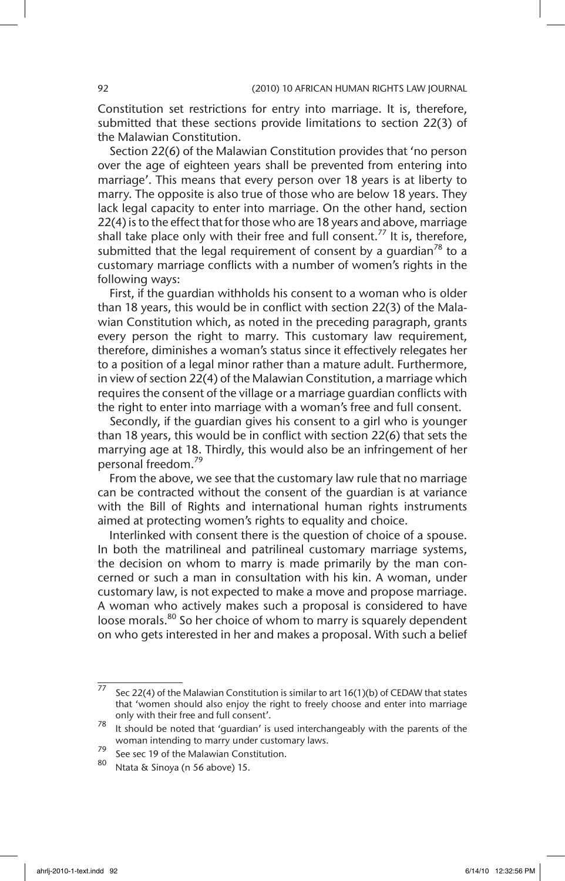Constitution set restrictions for entry into marriage. It is, therefore, submitted that these sections provide limitations to section 22(3) of the Malawian Constitution.

Section 22(6) of the Malawian Constitution provides that 'no person over the age of eighteen years shall be prevented from entering into marriage'. This means that every person over 18 years is at liberty to marry. The opposite is also true of those who are below 18 years. They lack legal capacity to enter into marriage. On the other hand, section 22(4) is to the effect that for those who are 18 years and above, marriage shall take place only with their free and full consent.<sup>77</sup> It is, therefore, submitted that the legal requirement of consent by a quardian<sup>78</sup> to a customary marriage conflicts with a number of women's rights in the following ways:

First, if the guardian withholds his consent to a woman who is older than 18 years, this would be in conflict with section 22(3) of the Malawian Constitution which, as noted in the preceding paragraph, grants every person the right to marry. This customary law requirement, therefore, diminishes a woman's status since it effectively relegates her to a position of a legal minor rather than a mature adult. Furthermore, in view of section 22(4) of the Malawian Constitution, a marriage which requires the consent of the village or a marriage guardian conflicts with the right to enter into marriage with a woman's free and full consent.

Secondly, if the guardian gives his consent to a girl who is younger than 18 years, this would be in conflict with section 22(6) that sets the marrying age at 18. Thirdly, this would also be an infringement of her personal freedom.<sup>79</sup>

From the above, we see that the customary law rule that no marriage can be contracted without the consent of the guardian is at variance with the Bill of Rights and international human rights instruments aimed at protecting women's rights to equality and choice.

Interlinked with consent there is the question of choice of a spouse. In both the matrilineal and patrilineal customary marriage systems, the decision on whom to marry is made primarily by the man concerned or such a man in consultation with his kin. A woman, under customary law, is not expected to make a move and propose marriage. A woman who actively makes such a proposal is considered to have loose morals.<sup>80</sup> So her choice of whom to marry is squarely dependent on who gets interested in her and makes a proposal. With such a belief

<sup>&</sup>lt;sup>77</sup> Sec 22(4) of the Malawian Constitution is similar to art 16(1)(b) of CEDAW that states that 'women should also enjoy the right to freely choose and enter into marriage only with their free and full consent'.

 $78$  It should be noted that 'guardian' is used interchangeably with the parents of the woman intending to marry under customary laws.

<sup>&</sup>lt;sup>79</sup> See sec 19 of the Malawian Constitution.<br><sup>80</sup> Ntata & Sinaus (a 56 shaus) 15

Ntata & Sinoya (n 56 above) 15.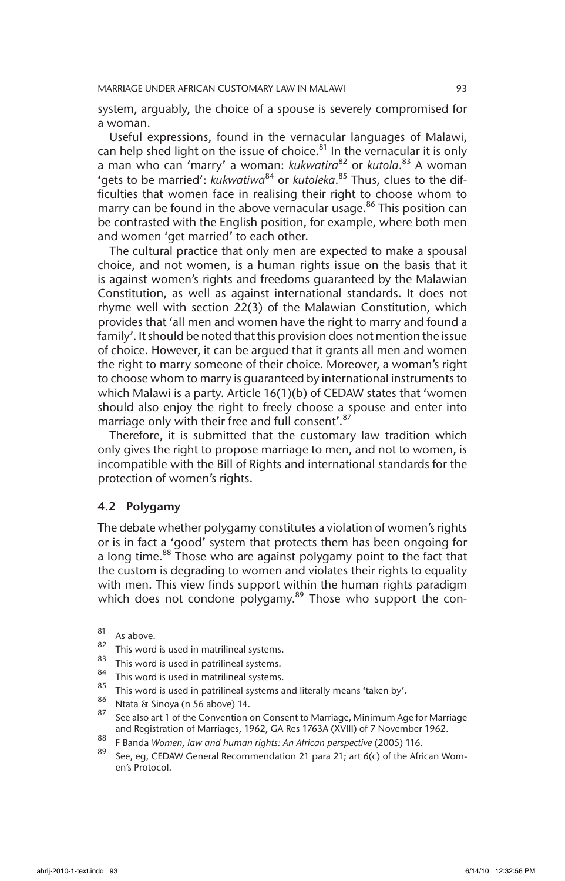system, arguably, the choice of a spouse is severely compromised for a woman.

Useful expressions, found in the vernacular languages of Malawi, can help shed light on the issue of choice. $81$  In the vernacular it is only a man who can 'marry' a woman: *kukwatira*82 or *kutola*. 83 A woman 'gets to be married': *kukwatiwa*84 or *kutoleka*. 85 Thus, clues to the difficulties that women face in realising their right to choose whom to marry can be found in the above vernacular usage.<sup>86</sup> This position can be contrasted with the English position, for example, where both men and women 'get married' to each other.

The cultural practice that only men are expected to make a spousal choice, and not women, is a human rights issue on the basis that it is against women's rights and freedoms guaranteed by the Malawian Constitution, as well as against international standards. It does not rhyme well with section 22(3) of the Malawian Constitution, which provides that 'all men and women have the right to marry and found a family'. It should be noted that this provision does not mention the issue of choice. However, it can be argued that it grants all men and women the right to marry someone of their choice. Moreover, a woman's right to choose whom to marry is guaranteed by international instruments to which Malawi is a party. Article 16(1)(b) of CEDAW states that 'women should also enjoy the right to freely choose a spouse and enter into marriage only with their free and full consent'.<sup>87</sup>

Therefore, it is submitted that the customary law tradition which only gives the right to propose marriage to men, and not to women, is incompatible with the Bill of Rights and international standards for the protection of women's rights.

#### 4.2 Polygamy

The debate whether polygamy constitutes a violation of women's rights or is in fact a 'good' system that protects them has been ongoing for a long time.<sup>88</sup> Those who are against polygamy point to the fact that the custom is degrading to women and violates their rights to equality with men. This view finds support within the human rights paradigm which does not condone polygamy. $89$  Those who support the con-

 $\frac{81}{82}$  As above.

 $\frac{82}{3}$  This word is used in matrilineal systems.

 $\frac{83}{100}$  This word is used in patrilineal systems.

 $84$  This word is used in matrilineal systems.

<sup>&</sup>lt;sup>85</sup> This word is used in patrilineal systems and literally means 'taken by'.<br><sup>86</sup> Minimal of Section 14.

 $\frac{86}{14}$  Ntata & Sinoya (n 56 above) 14.

See also art 1 of the Convention on Consent to Marriage, Minimum Age for Marriage and Registration of Marriages, 1962, GA Res 1763A (XVIII) of 7 November 1962.

<sup>88</sup> F Banda *Women, law and human rights: An African perspective* (2005) 116.

See, eg, CEDAW General Recommendation 21 para 21; art 6(c) of the African Women's Protocol.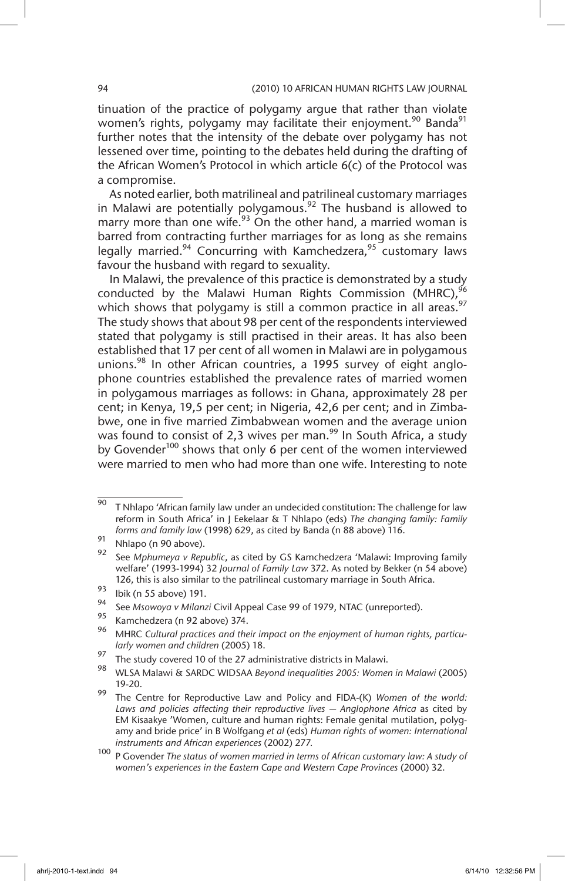tinuation of the practice of polygamy argue that rather than violate women's rights, polygamy may facilitate their enjoyment.<sup>90</sup> Banda<sup>91</sup> further notes that the intensity of the debate over polygamy has not lessened over time, pointing to the debates held during the drafting of the African Women's Protocol in which article 6(c) of the Protocol was a compromise.

As noted earlier, both matrilineal and patrilineal customary marriages in Malawi are potentially polygamous.<sup>92</sup> The husband is allowed to marry more than one wife.<sup>93</sup> On the other hand, a married woman is barred from contracting further marriages for as long as she remains legally married.<sup>94</sup> Concurring with Kamchedzera,<sup>95</sup> customary laws favour the husband with regard to sexuality.

In Malawi, the prevalence of this practice is demonstrated by a study conducted by the Malawi Human Rights Commission (MHRC),<sup>96</sup> which shows that polygamy is still a common practice in all areas.<sup>97</sup> The study shows that about 98 per cent of the respondents interviewed stated that polygamy is still practised in their areas. It has also been established that 17 per cent of all women in Malawi are in polygamous unions.<sup>98</sup> In other African countries, a 1995 survey of eight anglophone countries established the prevalence rates of married women in polygamous marriages as follows: in Ghana, approximately 28 per cent; in Kenya, 19,5 per cent; in Nigeria, 42,6 per cent; and in Zimbabwe, one in five married Zimbabwean women and the average union was found to consist of 2,3 wives per man.<sup>99</sup> In South Africa, a study by Govender<sup>100</sup> shows that only 6 per cent of the women interviewed were married to men who had more than one wife. Interesting to note

 $\frac{90}{90}$  T Nhlapo 'African family law under an undecided constitution: The challenge for law reform in South Africa' in J Eekelaar & T Nhlapo (eds) *The changing family: Family forms and family law* (1998) 629, as cited by Banda (n 88 above) 116.

 $\frac{91}{92}$  Nhlapo (n 90 above).

<sup>92</sup> See *Mphumeya v Republic*, as cited by GS Kamchedzera 'Malawi: Improving family welfare' (1993-1994) 32 *Journal of Family Law* 372. As noted by Bekker (n 54 above) 126, this is also similar to the patrilineal customary marriage in South Africa.

 $\frac{93}{94}$  Ibik (n 55 above) 191.

<sup>94</sup> See *Msowoya v Milanzi* Civil Appeal Case 99 of 1979, NTAC (unreported).

<sup>&</sup>lt;sup>95</sup> Kamchedzera (n 92 above) 374.

<sup>96</sup> MHRC *Cultural practices and their impact on the enjoyment of human rights, particularly women and children* (2005) 18.

<sup>97</sup> The study covered 10 of the 27 administrative districts in Malawi.

<sup>98</sup> WLSA Malawi & SARDC WIDSAA *Beyond inequalities 2005: Women in Malawi* (2005) 19-20.

<sup>99</sup> The Centre for Reproductive Law and Policy and FIDA-(K) *Women of the world: Laws and policies affecting their reproductive lives — Anglophone Africa* as cited by EM Kisaakye 'Women, culture and human rights: Female genital mutilation, polygamy and bride price' in B Wolfgang *et al* (eds) *Human rights of women: International instruments and African experiences* (2002) 277.

<sup>100</sup> P Govender *The status of women married in terms of African customary law: A study of women's experiences in the Eastern Cape and Western Cape Provinces* (2000) 32.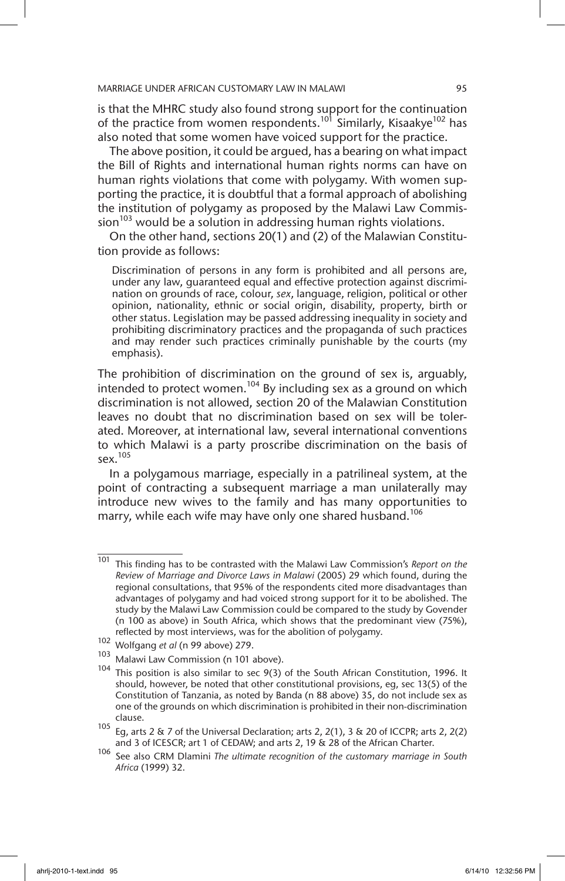is that the MHRC study also found strong support for the continuation of the practice from women respondents.<sup>101</sup> Similarly, Kisaakye<sup>102</sup> has also noted that some women have voiced support for the practice.

The above position, it could be argued, has a bearing on what impact the Bill of Rights and international human rights norms can have on human rights violations that come with polygamy. With women supporting the practice, it is doubtful that a formal approach of abolishing the institution of polygamy as proposed by the Malawi Law Commis- $\sin^{103}$  would be a solution in addressing human rights violations.

On the other hand, sections 20(1) and (2) of the Malawian Constitution provide as follows:

Discrimination of persons in any form is prohibited and all persons are, under any law, guaranteed equal and effective protection against discrimination on grounds of race, colour, *sex*, language, religion, political or other opinion, nationality, ethnic or social origin, disability, property, birth or other status. Legislation may be passed addressing inequality in society and prohibiting discriminatory practices and the propaganda of such practices and may render such practices criminally punishable by the courts (my emphasis).

The prohibition of discrimination on the ground of sex is, arguably, intended to protect women.<sup>104</sup> By including sex as a ground on which discrimination is not allowed, section 20 of the Malawian Constitution leaves no doubt that no discrimination based on sex will be tolerated. Moreover, at international law, several international conventions to which Malawi is a party proscribe discrimination on the basis of sex.105

In a polygamous marriage, especially in a patrilineal system, at the point of contracting a subsequent marriage a man unilaterally may introduce new wives to the family and has many opportunities to marry, while each wife may have only one shared husband.<sup>106</sup>

<sup>101</sup> This finding has to be contrasted with the Malawi Law Commission's *Report on the Review of Marriage and Divorce Laws in Malawi* (2005) 29 which found, during the regional consultations, that 95% of the respondents cited more disadvantages than advantages of polygamy and had voiced strong support for it to be abolished. The study by the Malawi Law Commission could be compared to the study by Govender (n 100 as above) in South Africa, which shows that the predominant view (75%), reflected by most interviews, was for the abolition of polygamy.

<sup>102</sup> Wolfgang *et al* (n 99 above) 279.

<sup>103</sup> Malawi Law Commission (n 101 above).

 $104$  This position is also similar to sec 9(3) of the South African Constitution, 1996. It should, however, be noted that other constitutional provisions, eg, sec 13(5) of the Constitution of Tanzania, as noted by Banda (n 88 above) 35, do not include sex as one of the grounds on which discrimination is prohibited in their non-discrimination clause.

<sup>105</sup> Eg, arts 2 & 7 of the Universal Declaration; arts 2, 2(1), 3 & 20 of ICCPR; arts 2, 2(2) and 3 of ICESCR; art 1 of CEDAW; and arts 2, 19 & 28 of the African Charter.

<sup>106</sup> See also CRM Dlamini *The ultimate recognition of the customary marriage in South Africa* (1999) 32.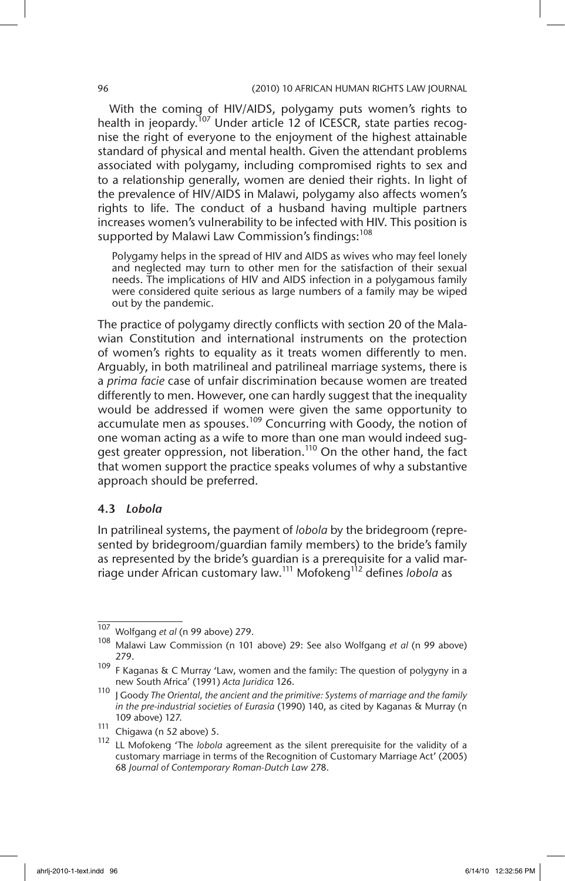With the coming of HIV/AIDS, polygamy puts women's rights to health in jeopardy.<sup>107</sup> Under article 12 of ICESCR, state parties recognise the right of everyone to the enjoyment of the highest attainable standard of physical and mental health. Given the attendant problems associated with polygamy, including compromised rights to sex and to a relationship generally, women are denied their rights. In light of the prevalence of HIV/AIDS in Malawi, polygamy also affects women's rights to life. The conduct of a husband having multiple partners increases women's vulnerability to be infected with HIV. This position is supported by Malawi Law Commission's findings:<sup>108</sup>

Polygamy helps in the spread of HIV and AIDS as wives who may feel lonely and neglected may turn to other men for the satisfaction of their sexual needs. The implications of HIV and AIDS infection in a polygamous family were considered quite serious as large numbers of a family may be wiped out by the pandemic.

The practice of polygamy directly conflicts with section 20 of the Malawian Constitution and international instruments on the protection of women's rights to equality as it treats women differently to men. Arguably, in both matrilineal and patrilineal marriage systems, there is a *prima facie* case of unfair discrimination because women are treated differently to men. However, one can hardly suggest that the inequality would be addressed if women were given the same opportunity to accumulate men as spouses.<sup>109</sup> Concurring with Goody, the notion of one woman acting as a wife to more than one man would indeed suggest greater oppression, not liberation.<sup>110</sup> On the other hand, the fact that women support the practice speaks volumes of why a substantive approach should be preferred.

### 4.3 *Lobola*

In patrilineal systems, the payment of *lobola* by the bridegroom (represented by bridegroom/guardian family members) to the bride's family as represented by the bride's guardian is a prerequisite for a valid marriage under African customary law.111 Mofokeng112 defines *lobola* as

<sup>107</sup> Wolfgang *et al* (n 99 above) 279.

<sup>108</sup> Malawi Law Commission (n 101 above) 29: See also Wolfgang *et al* (n 99 above) 279.

<sup>109</sup> F Kaganas & C Murray 'Law, women and the family: The question of polygyny in a new South Africa' (1991) *Acta Juridica* 126.

<sup>110</sup> J Goody *The Oriental, the ancient and the primitive: Systems of marriage and the family in the pre-industrial societies of Eurasia* (1990) 140, as cited by Kaganas & Murray (n 109 above) 127.

<sup>111</sup> Chigawa (n 52 above) 5.

<sup>112</sup> LL Mofokeng 'The *lobola* agreement as the silent prerequisite for the validity of a customary marriage in terms of the Recognition of Customary Marriage Act' (2005) 68 *Journal of Contemporary Roman-Dutch Law* 278.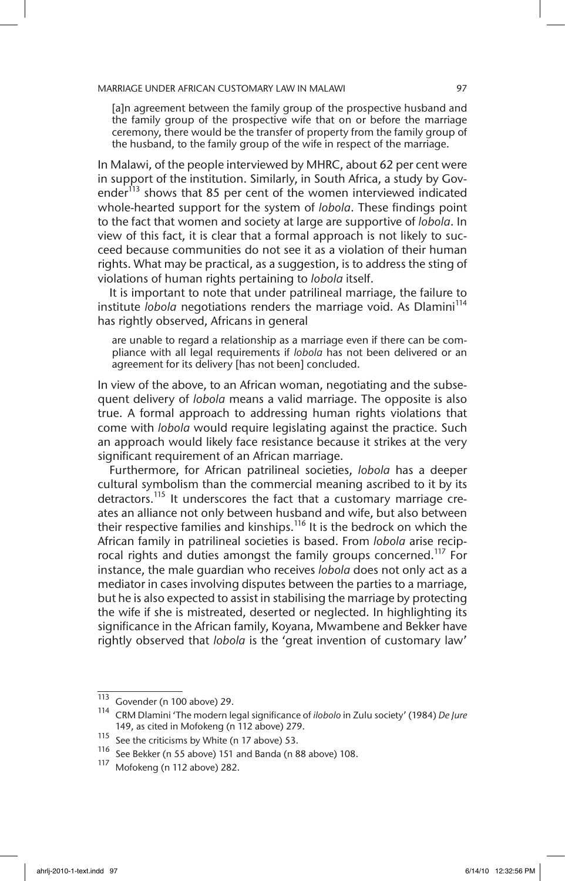[a]n agreement between the family group of the prospective husband and the family group of the prospective wife that on or before the marriage ceremony, there would be the transfer of property from the family group of the husband, to the family group of the wife in respect of the marriage.

In Malawi, of the people interviewed by MHRC, about 62 per cent were in support of the institution. Similarly, in South Africa, a study by Govender $^{113}$  shows that 85 per cent of the women interviewed indicated whole-hearted support for the system of *lobola*. These findings point to the fact that women and society at large are supportive of *lobola*. In view of this fact, it is clear that a formal approach is not likely to succeed because communities do not see it as a violation of their human rights. What may be practical, as a suggestion, is to address the sting of violations of human rights pertaining to *lobola* itself.

It is important to note that under patrilineal marriage, the failure to institute *lobola* negotiations renders the marriage void. As Dlamini<sup>114</sup> has rightly observed, Africans in general

are unable to regard a relationship as a marriage even if there can be compliance with all legal requirements if *lobola* has not been delivered or an agreement for its delivery [has not been] concluded.

In view of the above, to an African woman, negotiating and the subsequent delivery of *lobola* means a valid marriage. The opposite is also true. A formal approach to addressing human rights violations that come with *lobola* would require legislating against the practice. Such an approach would likely face resistance because it strikes at the very significant requirement of an African marriage.

Furthermore, for African patrilineal societies, *lobola* has a deeper cultural symbolism than the commercial meaning ascribed to it by its detractors.<sup>115</sup> It underscores the fact that a customary marriage creates an alliance not only between husband and wife, but also between their respective families and kinships.<sup>116</sup> It is the bedrock on which the African family in patrilineal societies is based. From *lobola* arise reciprocal rights and duties amongst the family groups concerned.<sup>117</sup> For instance, the male guardian who receives *lobola* does not only act as a mediator in cases involving disputes between the parties to a marriage, but he is also expected to assist in stabilising the marriage by protecting the wife if she is mistreated, deserted or neglected. In highlighting its significance in the African family, Koyana, Mwambene and Bekker have rightly observed that *lobola* is the 'great invention of customary law'

 $\overline{113}$  Govender (n 100 above) 29.

<sup>114</sup> CRM Dlamini 'The modern legal significance of *ilobolo* in Zulu society' (1984) *De Jure* 149, as cited in Mofokeng (n 112 above) 279.

<sup>115</sup> See the criticisms by White (n 17 above) 53.<br> $\frac{116}{10}$  See Bekker (n 55 above) 151 and Banda (n 8

<sup>&</sup>lt;sup>116</sup> See Bekker (n 55 above) 151 and Banda (n 88 above) 108.<br><sup>117</sup> Mefekeng (n 112 above) 282

Mofokeng (n 112 above) 282.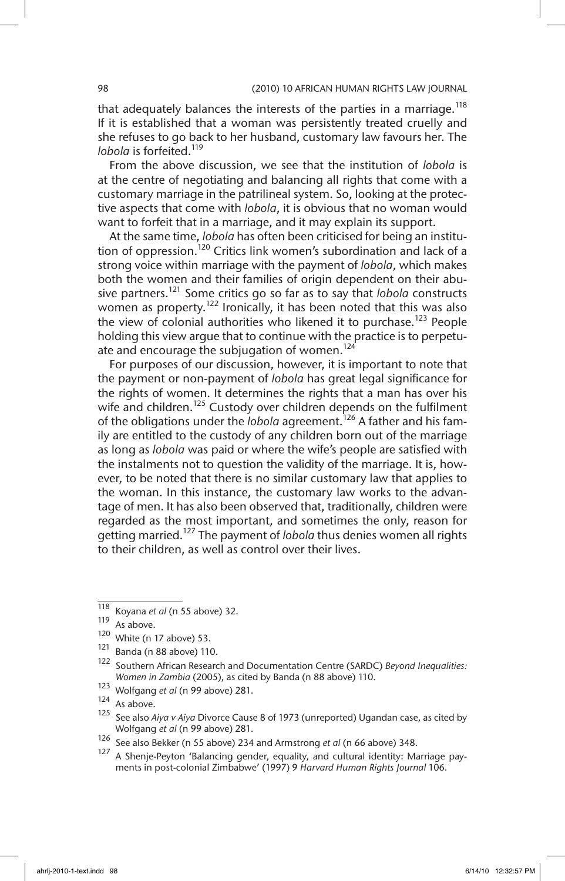that adequately balances the interests of the parties in a marriage.<sup>118</sup> If it is established that a woman was persistently treated cruelly and she refuses to go back to her husband, customary law favours her. The *lobola* is forfeited.<sup>119</sup>

From the above discussion, we see that the institution of *lobola* is at the centre of negotiating and balancing all rights that come with a customary marriage in the patrilineal system. So, looking at the protective aspects that come with *lobola*, it is obvious that no woman would want to forfeit that in a marriage, and it may explain its support.

At the same time, *lobola* has often been criticised for being an institution of oppression.<sup>120</sup> Critics link women's subordination and lack of a strong voice within marriage with the payment of *lobola*, which makes both the women and their families of origin dependent on their abusive partners.121 Some critics go so far as to say that *lobola* constructs women as property.<sup>122</sup> Ironically, it has been noted that this was also the view of colonial authorities who likened it to purchase.<sup>123</sup> People holding this view argue that to continue with the practice is to perpetuate and encourage the subjugation of women.<sup>124</sup>

For purposes of our discussion, however, it is important to note that the payment or non-payment of *lobola* has great legal significance for the rights of women. It determines the rights that a man has over his wife and children.<sup>125</sup> Custody over children depends on the fulfilment of the obligations under the *lobola* agreement.<sup>126</sup> A father and his family are entitled to the custody of any children born out of the marriage as long as *lobola* was paid or where the wife's people are satisfied with the instalments not to question the validity of the marriage. It is, however, to be noted that there is no similar customary law that applies to the woman. In this instance, the customary law works to the advantage of men. It has also been observed that, traditionally, children were regarded as the most important, and sometimes the only, reason for getting married.<sup>127</sup> The payment of *lobola* thus denies women all rights to their children, as well as control over their lives.

<sup>118</sup> Koyana *et al* (n 55 above) 32.

As above.

 $120$  White (n 17 above) 53.

<sup>121</sup> Banda (n 88 above) 110.

<sup>122</sup> Southern African Research and Documentation Centre (SARDC) *Beyond Inequalities: Women in Zambia* (2005), as cited by Banda (n 88 above) 110.

<sup>123</sup> Wolfgang *et al* (n 99 above) 281.

 $124$  As above.

<sup>125</sup> See also *Aiya v Aiya* Divorce Cause 8 of 1973 (unreported) Ugandan case, as cited by Wolfgang *et al* (n 99 above) 281.

<sup>126</sup> See also Bekker (n 55 above) 234 and Armstrong *et al* (n 66 above) 348.

A Shenje-Peyton 'Balancing gender, equality, and cultural identity: Marriage payments in post-colonial Zimbabwe' (1997) 9 *Harvard Human Rights Journal* 106.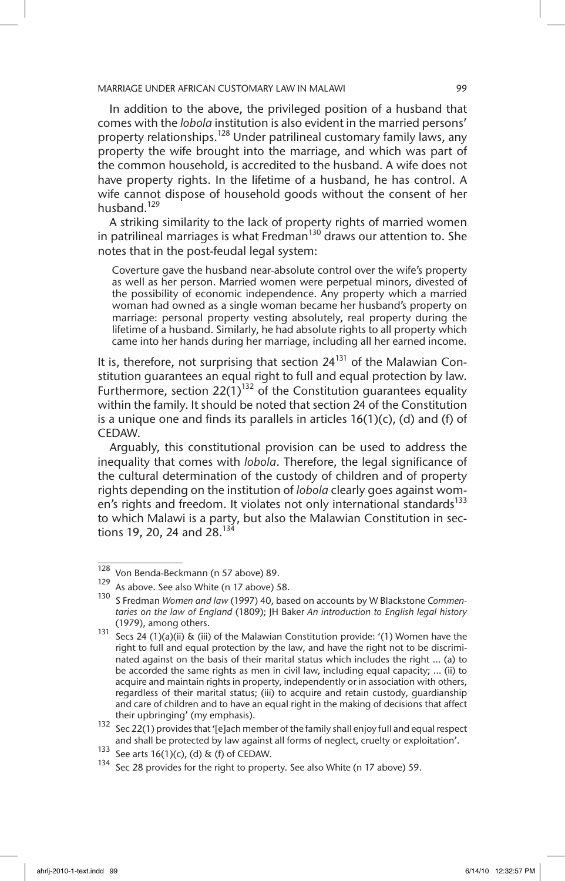In addition to the above, the privileged position of a husband that comes with the *lobola* institution is also evident in the married persons' property relationships.<sup>128</sup> Under patrilineal customary family laws, any property the wife brought into the marriage, and which was part of the common household, is accredited to the husband. A wife does not have property rights. In the lifetime of a husband, he has control. A wife cannot dispose of household goods without the consent of her husband.<sup>129</sup>

A striking similarity to the lack of property rights of married women in patrilineal marriages is what Fredman<sup>130</sup> draws our attention to. She notes that in the post-feudal legal system:

Coverture gave the husband near-absolute control over the wife's property as well as her person. Married women were perpetual minors, divested of the possibility of economic independence. Any property which a married woman had owned as a single woman became her husband's property on marriage: personal property vesting absolutely, real property during the lifetime of a husband. Similarly, he had absolute rights to all property which came into her hands during her marriage, including all her earned income.

It is, therefore, not surprising that section  $24^{131}$  of the Malawian Constitution guarantees an equal right to full and equal protection by law. Furthermore, section 22(1)<sup>132</sup> of the Constitution guarantees equality within the family. It should be noted that section 24 of the Constitution is a unique one and finds its parallels in articles  $16(1)(c)$ , (d) and (f) of **CEDAW** 

Arguably, this constitutional provision can be used to address the inequality that comes with *lobola*. Therefore, the legal significance of the cultural determination of the custody of children and of property rights depending on the institution of *lobola* clearly goes against women's rights and freedom. It violates not only international standards<sup>133</sup> to which Malawi is a party, but also the Malawian Constitution in sections 19, 20, 24 and 28.<sup>134</sup>

 $\frac{128}{128}$  Von Benda-Beckmann (n 57 above) 89.

As above. See also White (n 17 above) 58.

<sup>130</sup> S Fredman *Women and law* (1997) 40, based on accounts by W Blackstone *Commentaries on the law of England* (1809); JH Baker *An introduction to English legal history* (1979), among others.

<sup>131</sup> Secs 24 (1)(a)(ii) & (iii) of the Malawian Constitution provide: '(1) Women have the right to full and equal protection by the law, and have the right not to be discriminated against on the basis of their marital status which includes the right … (a) to be accorded the same rights as men in civil law, including equal capacity; … (ii) to acquire and maintain rights in property, independently or in association with others, regardless of their marital status; (iii) to acquire and retain custody, guardianship and care of children and to have an equal right in the making of decisions that affect their upbringing' (my emphasis).

<sup>132</sup> Sec 22(1) provides that '[e]ach member of the family shall enjoy full and equal respect and shall be protected by law against all forms of neglect, cruelty or exploitation'.

<sup>133</sup> See arts 16(1)(c), (d) & (f) of CEDAW.

Sec 28 provides for the right to property. See also White (n 17 above) 59.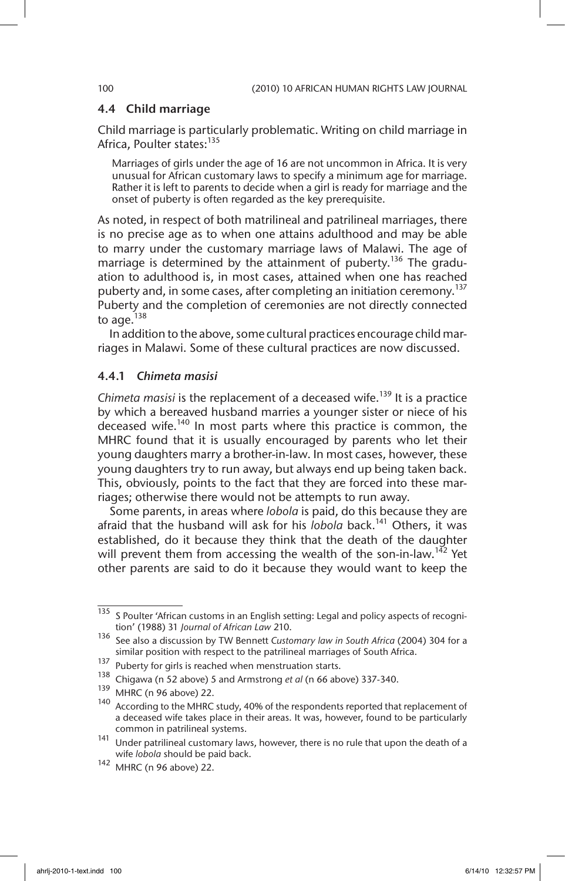#### 4.4 Child marriage

Child marriage is particularly problematic. Writing on child marriage in Africa, Poulter states:<sup>135</sup>

Marriages of girls under the age of 16 are not uncommon in Africa. It is very unusual for African customary laws to specify a minimum age for marriage. Rather it is left to parents to decide when a girl is ready for marriage and the onset of puberty is often regarded as the key prerequisite.

As noted, in respect of both matrilineal and patrilineal marriages, there is no precise age as to when one attains adulthood and may be able to marry under the customary marriage laws of Malawi. The age of marriage is determined by the attainment of puberty.<sup>136</sup> The graduation to adulthood is, in most cases, attained when one has reached puberty and, in some cases, after completing an initiation ceremony.<sup>137</sup> Puberty and the completion of ceremonies are not directly connected to age.<sup>138</sup>

In addition to the above, some cultural practices encourage child marriages in Malawi. Some of these cultural practices are now discussed.

#### 4.4.1 *Chimeta masisi*

*Chimeta masisi* is the replacement of a deceased wife.139 It is a practice by which a bereaved husband marries a younger sister or niece of his deceased wife.<sup>140</sup> In most parts where this practice is common, the MHRC found that it is usually encouraged by parents who let their young daughters marry a brother-in-law. In most cases, however, these young daughters try to run away, but always end up being taken back. This, obviously, points to the fact that they are forced into these marriages; otherwise there would not be attempts to run away.

Some parents, in areas where *lobola* is paid, do this because they are afraid that the husband will ask for his *lobola* back.<sup>141</sup> Others, it was established, do it because they think that the death of the daughter will prevent them from accessing the wealth of the son-in-law.<sup>142</sup> Yet other parents are said to do it because they would want to keep the

 $\frac{135}{135}$  S Poulter 'African customs in an English setting: Legal and policy aspects of recognition' (1988) 31 *Journal of African Law* 210.

<sup>136</sup> See also a discussion by TW Bennett *Customary law in South Africa* (2004) 304 for a similar position with respect to the patrilineal marriages of South Africa.

<sup>137</sup> Puberty for girls is reached when menstruation starts.

<sup>138</sup> Chigawa (n 52 above) 5 and Armstrong *et al* (n 66 above) 337-340.

<sup>139</sup> MHRC (n 96 above) 22.

<sup>140</sup> According to the MHRC study, 40% of the respondents reported that replacement of a deceased wife takes place in their areas. It was, however, found to be particularly common in patrilineal systems.

<sup>141</sup> Under patrilineal customary laws, however, there is no rule that upon the death of a wife *lobola* should be paid back.

<sup>142</sup> MHRC (n 96 above) 22.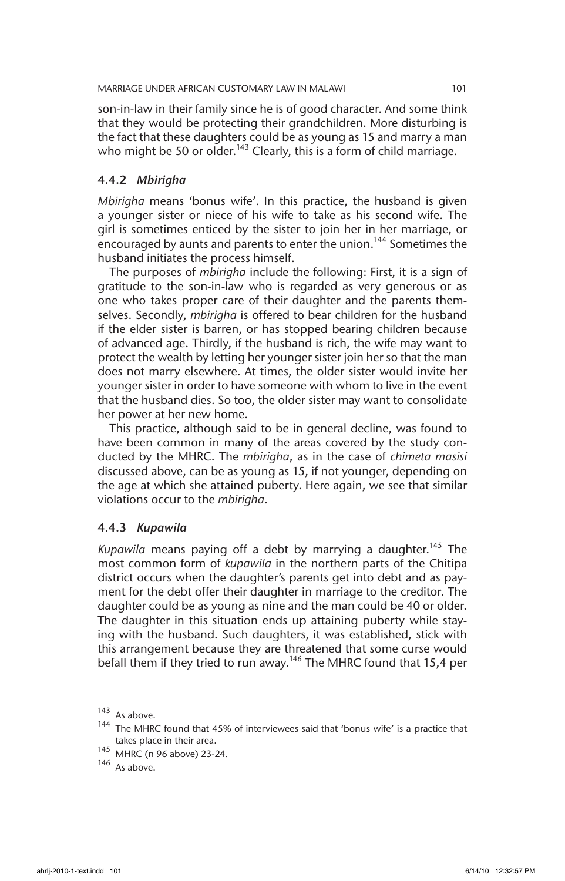son-in-law in their family since he is of good character. And some think that they would be protecting their grandchildren. More disturbing is the fact that these daughters could be as young as 15 and marry a man who might be 50 or older.<sup>143</sup> Clearly, this is a form of child marriage.

### 4.4.2 *Mbirigha*

*Mbirigha* means 'bonus wife'. In this practice, the husband is given a younger sister or niece of his wife to take as his second wife. The girl is sometimes enticed by the sister to join her in her marriage, or encouraged by aunts and parents to enter the union.<sup>144</sup> Sometimes the husband initiates the process himself.

The purposes of *mbirigha* include the following: First, it is a sign of gratitude to the son-in-law who is regarded as very generous or as one who takes proper care of their daughter and the parents themselves. Secondly, *mbirigha* is offered to bear children for the husband if the elder sister is barren, or has stopped bearing children because of advanced age. Thirdly, if the husband is rich, the wife may want to protect the wealth by letting her younger sister join her so that the man does not marry elsewhere. At times, the older sister would invite her younger sister in order to have someone with whom to live in the event that the husband dies. So too, the older sister may want to consolidate her power at her new home.

This practice, although said to be in general decline, was found to have been common in many of the areas covered by the study conducted by the MHRC. The *mbirigha*, as in the case of *chimeta masisi* discussed above, can be as young as 15, if not younger, depending on the age at which she attained puberty. Here again, we see that similar violations occur to the *mbirigha*.

### 4.4.3 *Kupawila*

Kupawila means paying off a debt by marrying a daughter.<sup>145</sup> The most common form of *kupawila* in the northern parts of the Chitipa district occurs when the daughter's parents get into debt and as payment for the debt offer their daughter in marriage to the creditor. The daughter could be as young as nine and the man could be 40 or older. The daughter in this situation ends up attaining puberty while staying with the husband. Such daughters, it was established, stick with this arrangement because they are threatened that some curse would befall them if they tried to run away.<sup>146</sup> The MHRC found that 15,4 per

 $\overline{143}$  As above.

 $144$  The MHRC found that 45% of interviewees said that 'bonus wife' is a practice that takes place in their area.

<sup>145</sup> MHRC (n 96 above) 23-24.

<sup>146</sup> As above.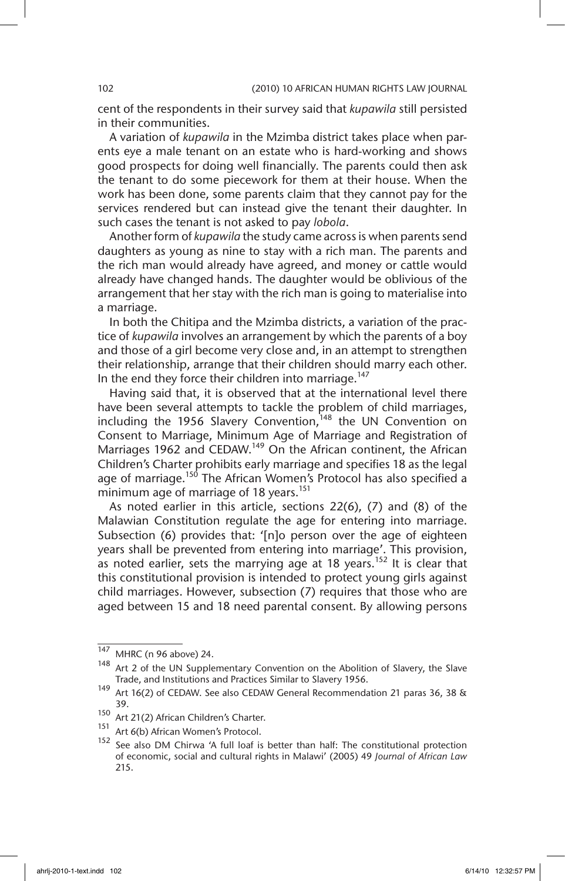cent of the respondents in their survey said that *kupawila* still persisted in their communities.

A variation of *kupawila* in the Mzimba district takes place when parents eye a male tenant on an estate who is hard-working and shows good prospects for doing well financially. The parents could then ask the tenant to do some piecework for them at their house. When the work has been done, some parents claim that they cannot pay for the services rendered but can instead give the tenant their daughter. In such cases the tenant is not asked to pay *lobola*.

Another form of *kupawila* the study came across is when parents send daughters as young as nine to stay with a rich man. The parents and the rich man would already have agreed, and money or cattle would already have changed hands. The daughter would be oblivious of the arrangement that her stay with the rich man is going to materialise into a marriage.

In both the Chitipa and the Mzimba districts, a variation of the practice of *kupawila* involves an arrangement by which the parents of a boy and those of a girl become very close and, in an attempt to strengthen their relationship, arrange that their children should marry each other. In the end they force their children into marriage.<sup>147</sup>

Having said that, it is observed that at the international level there have been several attempts to tackle the problem of child marriages, including the 1956 Slavery Convention,  $148$  the UN Convention on Consent to Marriage, Minimum Age of Marriage and Registration of Marriages 1962 and CEDAW.<sup>149</sup> On the African continent, the African Children's Charter prohibits early marriage and specifies 18 as the legal age of marriage.<sup>150</sup> The African Women's Protocol has also specified a minimum age of marriage of 18 years.<sup>151</sup>

As noted earlier in this article, sections 22(6), (7) and (8) of the Malawian Constitution regulate the age for entering into marriage. Subsection (6) provides that: '[n]o person over the age of eighteen years shall be prevented from entering into marriage'. This provision, as noted earlier, sets the marrying age at 18 years.<sup>152</sup> It is clear that this constitutional provision is intended to protect young girls against child marriages. However, subsection (7) requires that those who are aged between 15 and 18 need parental consent. By allowing persons

 $\frac{147}{147}$  MHRC (n 96 above) 24.

 $148$  Art 2 of the UN Supplementary Convention on the Abolition of Slavery, the Slave Trade, and Institutions and Practices Similar to Slavery 1956.

<sup>&</sup>lt;sup>149</sup> Art 16(2) of CEDAW. See also CEDAW General Recommendation 21 paras 36, 38 & 39.

<sup>150</sup> Art 21(2) African Children's Charter.

<sup>151</sup> Art 6(b) African Women's Protocol.

<sup>&</sup>lt;sup>152</sup> See also DM Chirwa 'A full loaf is better than half: The constitutional protection of economic, social and cultural rights in Malawi' (2005) 49 *Journal of African Law*  215.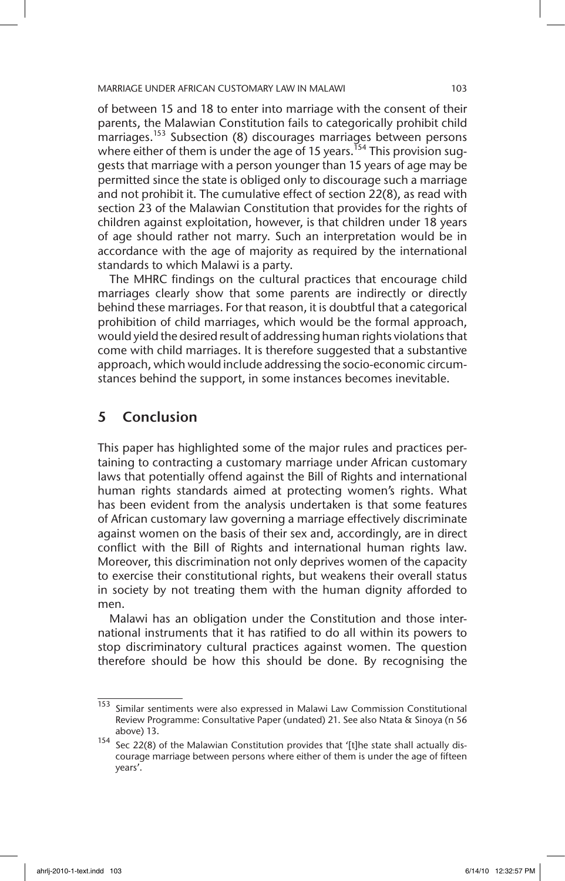of between 15 and 18 to enter into marriage with the consent of their parents, the Malawian Constitution fails to categorically prohibit child marriages.<sup>153</sup> Subsection (8) discourages marriages between persons where either of them is under the age of 15 years.<sup>154</sup> This provision suggests that marriage with a person younger than 15 years of age may be permitted since the state is obliged only to discourage such a marriage and not prohibit it. The cumulative effect of section 22(8), as read with section 23 of the Malawian Constitution that provides for the rights of children against exploitation, however, is that children under 18 years of age should rather not marry. Such an interpretation would be in accordance with the age of majority as required by the international standards to which Malawi is a party.

The MHRC findings on the cultural practices that encourage child marriages clearly show that some parents are indirectly or directly behind these marriages. For that reason, it is doubtful that a categorical prohibition of child marriages, which would be the formal approach, would yield the desired result of addressing human rights violations that come with child marriages. It is therefore suggested that a substantive approach, which would include addressing the socio-economic circumstances behind the support, in some instances becomes inevitable.

## 5 Conclusion

This paper has highlighted some of the major rules and practices pertaining to contracting a customary marriage under African customary laws that potentially offend against the Bill of Rights and international human rights standards aimed at protecting women's rights. What has been evident from the analysis undertaken is that some features of African customary law governing a marriage effectively discriminate against women on the basis of their sex and, accordingly, are in direct conflict with the Bill of Rights and international human rights law. Moreover, this discrimination not only deprives women of the capacity to exercise their constitutional rights, but weakens their overall status in society by not treating them with the human dignity afforded to men.

Malawi has an obligation under the Constitution and those international instruments that it has ratified to do all within its powers to stop discriminatory cultural practices against women. The question therefore should be how this should be done. By recognising the

<sup>&</sup>lt;sup>153</sup> Similar sentiments were also expressed in Malawi Law Commission Constitutional Review Programme: Consultative Paper (undated) 21. See also Ntata & Sinoya (n 56 above) 13.

<sup>&</sup>lt;sup>154</sup> Sec 22(8) of the Malawian Constitution provides that '[t]he state shall actually discourage marriage between persons where either of them is under the age of fifteen years'.